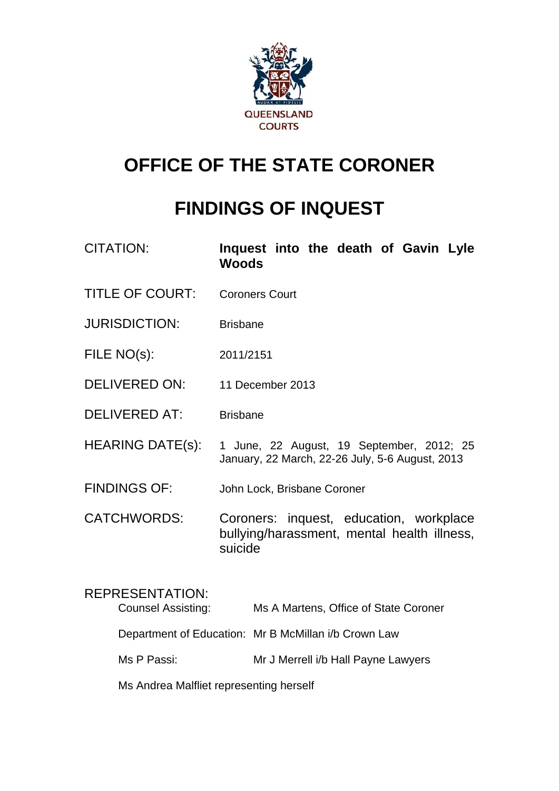

# **OFFICE OF THE STATE CORONER**

# **FINDINGS OF INQUEST**

| <b>CITATION:</b>                                    | Inquest into the death of Gavin Lyle<br><b>Woods</b>                                              |
|-----------------------------------------------------|---------------------------------------------------------------------------------------------------|
| <b>TITLE OF COURT:</b>                              | <b>Coroners Court</b>                                                                             |
| <b>JURISDICTION:</b>                                | <b>Brisbane</b>                                                                                   |
| FILE NO(s):                                         | 2011/2151                                                                                         |
| <b>DELIVERED ON:</b>                                | 11 December 2013                                                                                  |
| <b>DELIVERED AT:</b>                                | <b>Brisbane</b>                                                                                   |
| <b>HEARING DATE(s):</b>                             | 1 June, 22 August, 19 September, 2012; 25<br>January, 22 March, 22-26 July, 5-6 August, 2013      |
| <b>FINDINGS OF:</b>                                 | John Lock, Brisbane Coroner                                                                       |
| <b>CATCHWORDS:</b>                                  | Coroners: inquest, education, workplace<br>bullying/harassment, mental health illness,<br>suicide |
| <b>REPRESENTATION:</b><br><b>Counsel Assisting:</b> | Ms A Martens, Office of State Coroner                                                             |
|                                                     | Department of Education: Mr B McMillan i/b Crown Law                                              |
| Ms P Passi:                                         | Mr J Merrell i/b Hall Payne Lawyers                                                               |

Ms Andrea Malfliet representing herself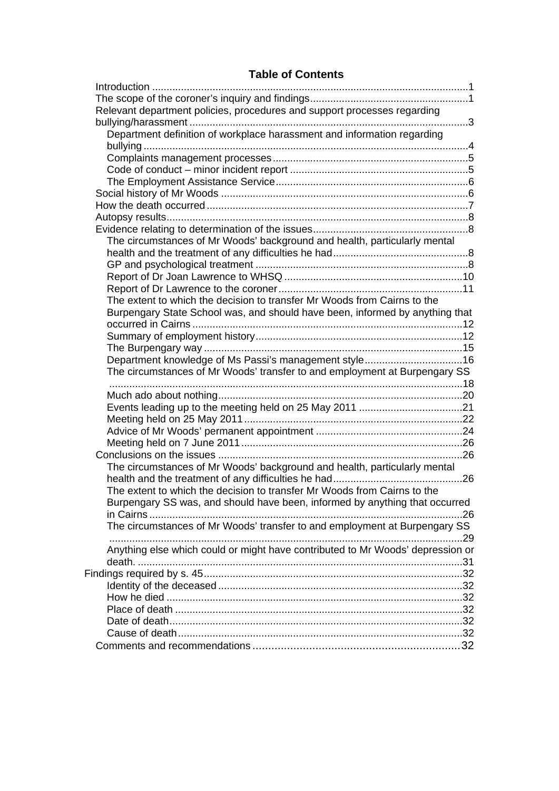# **Table of Contents**

| Relevant department policies, procedures and support processes regarding       |    |
|--------------------------------------------------------------------------------|----|
|                                                                                |    |
| Department definition of workplace harassment and information regarding        |    |
|                                                                                |    |
|                                                                                |    |
|                                                                                |    |
|                                                                                |    |
|                                                                                |    |
|                                                                                |    |
|                                                                                |    |
|                                                                                |    |
| The circumstances of Mr Woods' background and health, particularly mental      |    |
|                                                                                |    |
|                                                                                |    |
|                                                                                |    |
|                                                                                |    |
| The extent to which the decision to transfer Mr Woods from Cairns to the       |    |
| Burpengary State School was, and should have been, informed by anything that   |    |
|                                                                                |    |
|                                                                                |    |
|                                                                                |    |
|                                                                                |    |
| The circumstances of Mr Woods' transfer to and employment at Burpengary SS     |    |
|                                                                                |    |
|                                                                                |    |
|                                                                                |    |
|                                                                                |    |
|                                                                                |    |
|                                                                                |    |
|                                                                                |    |
| The circumstances of Mr Woods' background and health, particularly mental      |    |
|                                                                                |    |
| The extent to which the decision to transfer Mr Woods from Cairns to the       |    |
| Burpengary SS was, and should have been, informed by anything that occurred    |    |
|                                                                                | 26 |
| The circumstances of Mr Woods' transfer to and employment at Burpengary SS     |    |
|                                                                                |    |
| Anything else which could or might have contributed to Mr Woods' depression or |    |
|                                                                                |    |
|                                                                                |    |
|                                                                                |    |
|                                                                                |    |
|                                                                                |    |
|                                                                                |    |
|                                                                                |    |
|                                                                                |    |
|                                                                                |    |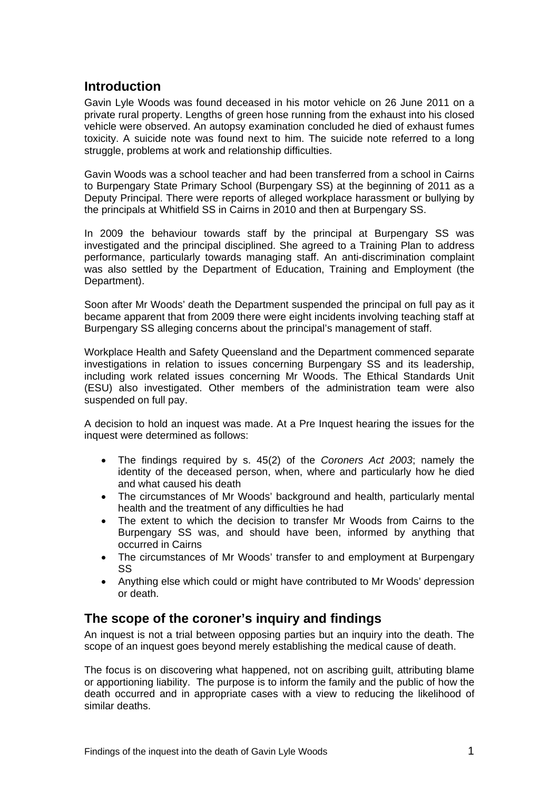# <span id="page-2-0"></span>**Introduction**

Gavin Lyle Woods was found deceased in his motor vehicle on 26 June 2011 on a private rural property. Lengths of green hose running from the exhaust into his closed vehicle were observed. An autopsy examination concluded he died of exhaust fumes toxicity. A suicide note was found next to him. The suicide note referred to a long struggle, problems at work and relationship difficulties.

Gavin Woods was a school teacher and had been transferred from a school in Cairns to Burpengary State Primary School (Burpengary SS) at the beginning of 2011 as a Deputy Principal. There were reports of alleged workplace harassment or bullying by the principals at Whitfield SS in Cairns in 2010 and then at Burpengary SS.

In 2009 the behaviour towards staff by the principal at Burpengary SS was investigated and the principal disciplined. She agreed to a Training Plan to address performance, particularly towards managing staff. An anti-discrimination complaint was also settled by the Department of Education, Training and Employment (the Department).

Soon after Mr Woods' death the Department suspended the principal on full pay as it became apparent that from 2009 there were eight incidents involving teaching staff at Burpengary SS alleging concerns about the principal's management of staff.

Workplace Health and Safety Queensland and the Department commenced separate investigations in relation to issues concerning Burpengary SS and its leadership, including work related issues concerning Mr Woods. The Ethical Standards Unit (ESU) also investigated. Other members of the administration team were also suspended on full pay.

A decision to hold an inquest was made. At a Pre Inquest hearing the issues for the inquest were determined as follows:

- The findings required by s. 45(2) of the *Coroners Act 2003*; namely the identity of the deceased person, when, where and particularly how he died and what caused his death
- The circumstances of Mr Woods' background and health, particularly mental health and the treatment of any difficulties he had
- The extent to which the decision to transfer Mr Woods from Cairns to the Burpengary SS was, and should have been, informed by anything that occurred in Cairns
- The circumstances of Mr Woods' transfer to and employment at Burpengary SS
- Anything else which could or might have contributed to Mr Woods' depression or death.

# <span id="page-2-1"></span>**The scope of the coroner's inquiry and findings**

An inquest is not a trial between opposing parties but an inquiry into the death. The scope of an inquest goes beyond merely establishing the medical cause of death.

<span id="page-2-2"></span>The focus is on discovering what happened, not on ascribing guilt, attributing blame or apportioning liability. The purpose is to inform the family and the public of how the death occurred and in appropriate cases with a view to reducing the likelihood of similar deaths.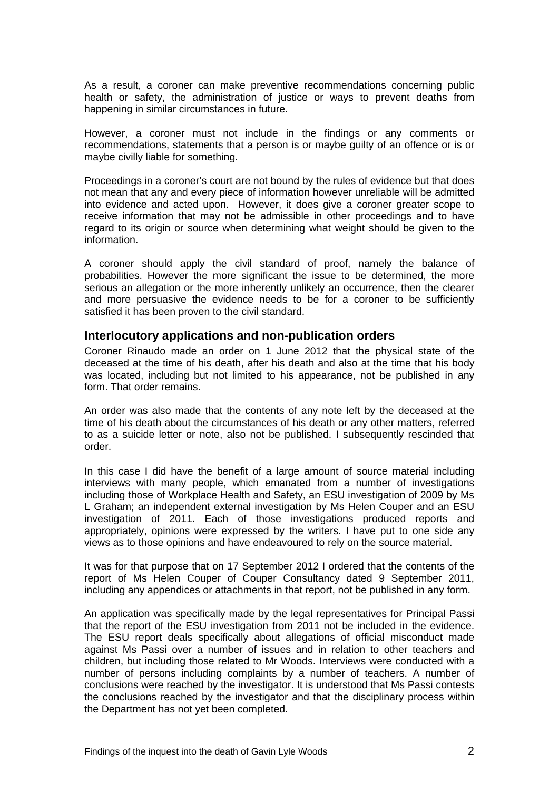As a result, a coroner can make preventive recommendations concerning public health or safety, the administration of justice or ways to prevent deaths from happening in similar circumstances in future.

However, a coroner must not include in the findings or any comments or recommendations, statements that a person is or maybe guilty of an offence or is or maybe civilly liable for something.

Proceedings in a coroner's court are not bound by the rules of evidence but that does not mean that any and every piece of information however unreliable will be admitted into evidence and acted upon. However, it does give a coroner greater scope to receive information that may not be admissible in other proceedings and to have regard to its origin or source when determining what weight should be given to the information.

A coroner should apply the civil standard of proof, namely the balance of probabilities. However the more significant the issue to be determined, the more serious an allegation or the more inherently unlikely an occurrence, then the clearer and more persuasive the evidence needs to be for a coroner to be sufficiently satisfied it has been proven to the civil standard.

#### **Interlocutory applications and non-publication orders**

Coroner Rinaudo made an order on 1 June 2012 that the physical state of the deceased at the time of his death, after his death and also at the time that his body was located, including but not limited to his appearance, not be published in any form. That order remains.

An order was also made that the contents of any note left by the deceased at the time of his death about the circumstances of his death or any other matters, referred to as a suicide letter or note, also not be published. I subsequently rescinded that order.

In this case I did have the benefit of a large amount of source material including interviews with many people, which emanated from a number of investigations including those of Workplace Health and Safety, an ESU investigation of 2009 by Ms L Graham; an independent external investigation by Ms Helen Couper and an ESU investigation of 2011. Each of those investigations produced reports and appropriately, opinions were expressed by the writers. I have put to one side any views as to those opinions and have endeavoured to rely on the source material.

It was for that purpose that on 17 September 2012 I ordered that the contents of the report of Ms Helen Couper of Couper Consultancy dated 9 September 2011, including any appendices or attachments in that report, not be published in any form.

An application was specifically made by the legal representatives for Principal Passi that the report of the ESU investigation from 2011 not be included in the evidence. The ESU report deals specifically about allegations of official misconduct made against Ms Passi over a number of issues and in relation to other teachers and children, but including those related to Mr Woods. Interviews were conducted with a number of persons including complaints by a number of teachers. A number of conclusions were reached by the investigator. It is understood that Ms Passi contests the conclusions reached by the investigator and that the disciplinary process within the Department has not yet been completed.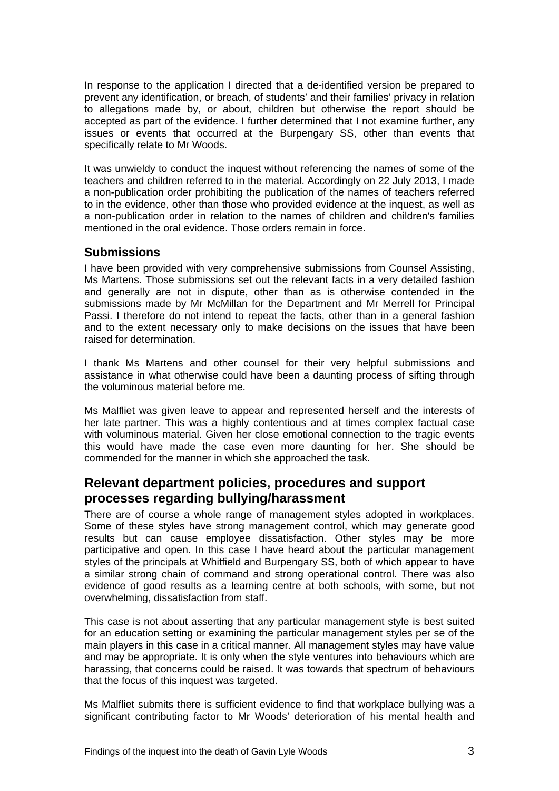In response to the application I directed that a de-identified version be prepared to prevent any identification, or breach, of students' and their families' privacy in relation to allegations made by, or about, children but otherwise the report should be accepted as part of the evidence. I further determined that I not examine further, any issues or events that occurred at the Burpengary SS, other than events that specifically relate to Mr Woods.

It was unwieldy to conduct the inquest without referencing the names of some of the teachers and children referred to in the material. Accordingly on 22 July 2013, I made a non-publication order prohibiting the publication of the names of teachers referred to in the evidence, other than those who provided evidence at the inquest, as well as a non-publication order in relation to the names of children and children's families mentioned in the oral evidence. Those orders remain in force.

# **Submissions**

I have been provided with very comprehensive submissions from Counsel Assisting, Ms Martens. Those submissions set out the relevant facts in a very detailed fashion and generally are not in dispute, other than as is otherwise contended in the submissions made by Mr McMillan for the Department and Mr Merrell for Principal Passi. I therefore do not intend to repeat the facts, other than in a general fashion and to the extent necessary only to make decisions on the issues that have been raised for determination.

I thank Ms Martens and other counsel for their very helpful submissions and assistance in what otherwise could have been a daunting process of sifting through the voluminous material before me.

Ms Malfliet was given leave to appear and represented herself and the interests of her late partner. This was a highly contentious and at times complex factual case with voluminous material. Given her close emotional connection to the tragic events this would have made the case even more daunting for her. She should be commended for the manner in which she approached the task.

# <span id="page-4-0"></span>**Relevant department policies, procedures and support processes regarding bullying/harassment**

There are of course a whole range of management styles adopted in workplaces. Some of these styles have strong management control, which may generate good results but can cause employee dissatisfaction. Other styles may be more participative and open. In this case I have heard about the particular management styles of the principals at Whitfield and Burpengary SS, both of which appear to have a similar strong chain of command and strong operational control. There was also evidence of good results as a learning centre at both schools, with some, but not overwhelming, dissatisfaction from staff.

This case is not about asserting that any particular management style is best suited for an education setting or examining the particular management styles per se of the main players in this case in a critical manner. All management styles may have value and may be appropriate. It is only when the style ventures into behaviours which are harassing, that concerns could be raised. It was towards that spectrum of behaviours that the focus of this inquest was targeted.

Ms Malfliet submits there is sufficient evidence to find that workplace bullying was a significant contributing factor to Mr Woods' deterioration of his mental health and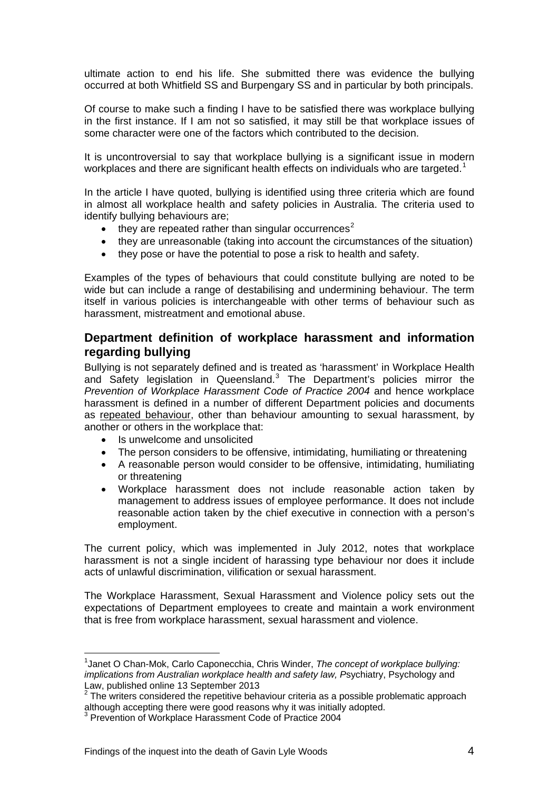ultimate action to end his life. She submitted there was evidence the bullying occurred at both Whitfield SS and Burpengary SS and in particular by both principals.

Of course to make such a finding I have to be satisfied there was workplace bullying in the first instance. If I am not so satisfied, it may still be that workplace issues of some character were one of the factors which contributed to the decision.

It is uncontroversial to say that workplace bullying is a significant issue in modern workplaces and there are significant health effects on individuals who are targeted.<sup>[1](#page-2-2)</sup>

In the article I have quoted, bullying is identified using three criteria which are found in almost all workplace health and safety policies in Australia. The criteria used to identify bullying behaviours are;

- $\bullet$  they are repeated rather than singular occurrences<sup>[2](#page-5-1)</sup>
- they are unreasonable (taking into account the circumstances of the situation)
- they pose or have the potential to pose a risk to health and safety.

Examples of the types of behaviours that could constitute bullying are noted to be wide but can include a range of destabilising and undermining behaviour. The term itself in various policies is interchangeable with other terms of behaviour such as harassment, mistreatment and emotional abuse.

## <span id="page-5-0"></span>**Department definition of workplace harassment and information regarding bullying**

Bullying is not separately defined and is treated as 'harassment' in Workplace Health and Safety legislation in Queensland.<sup>[3](#page-5-2)</sup> The Department's policies mirror the *Prevention of Workplace Harassment Code of Practice 2004* and hence workplace harassment is defined in a number of different Department policies and documents as repeated behaviour, other than behaviour amounting to sexual harassment, by another or others in the workplace that:

• Is unwelcome and unsolicited

l

- The person considers to be offensive, intimidating, humiliating or threatening
- A reasonable person would consider to be offensive, intimidating, humiliating or threatening
- Workplace harassment does not include reasonable action taken by management to address issues of employee performance. It does not include reasonable action taken by the chief executive in connection with a person's employment.

The current policy, which was implemented in July 2012, notes that workplace harassment is not a single incident of harassing type behaviour nor does it include acts of unlawful discrimination, vilification or sexual harassment.

The Workplace Harassment, Sexual Harassment and Violence policy sets out the expectations of Department employees to create and maintain a work environment that is free from workplace harassment, sexual harassment and violence.

<sup>1</sup> Janet O Chan-Mok, Carlo Caponecchia, Chris Winder, *The concept of workplace bullying: implications from Australian workplace health and safety law, P*sychiatry, Psychology and Law, published online 13 September 2013

<span id="page-5-1"></span> $2$  The writers considered the repetitive behaviour criteria as a possible problematic approach although accepting there were good reasons why it was initially adopted.

<span id="page-5-2"></span><sup>&</sup>lt;sup>3</sup> Prevention of Workplace Harassment Code of Practice 2004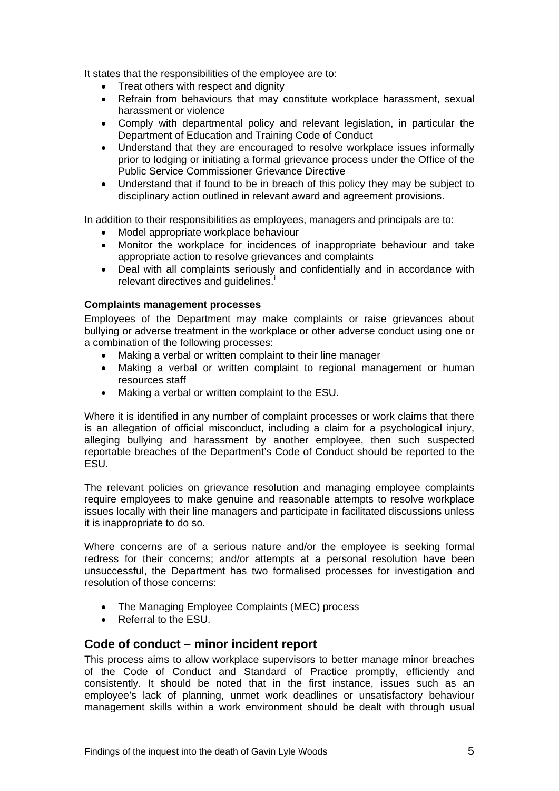It states that the responsibilities of the employee are to:

- Treat others with respect and dignity
- Refrain from behaviours that may constitute workplace harassment, sexual harassment or violence
- Comply with departmental policy and relevant legislation, in particular the Department of Education and Training Code of Conduct
- Understand that they are encouraged to resolve workplace issues informally prior to lodging or initiating a formal grievance process under the Office of the Public Service Commissioner Grievance Directive
- Understand that if found to be in breach of this policy they may be subject to disciplinary action outlined in relevant award and agreement provisions.

In addition to their responsibilities as employees, managers and principals are to:

- Model appropriate workplace behaviour
- Monitor the workplace for incidences of inappropriate behaviour and take appropriate action to resolve grievances and complaints
- Deal with all complaints seriously and confidentially and in accordance with relevant d[i](#page-36-0)rectives and guidelines.<sup>1</sup>

#### <span id="page-6-0"></span>**Complaints management processes**

Employees of the Department may make complaints or raise grievances about bullying or adverse treatment in the workplace or other adverse conduct using one or a combination of the following processes:

- Making a verbal or written complaint to their line manager
- Making a verbal or written complaint to regional management or human resources staff
- Making a verbal or written complaint to the ESU.

Where it is identified in any number of complaint processes or work claims that there is an allegation of official misconduct, including a claim for a psychological injury, alleging bullying and harassment by another employee, then such suspected reportable breaches of the Department's Code of Conduct should be reported to the ESU.

The relevant policies on grievance resolution and managing employee complaints require employees to make genuine and reasonable attempts to resolve workplace issues locally with their line managers and participate in facilitated discussions unless it is inappropriate to do so.

Where concerns are of a serious nature and/or the employee is seeking formal redress for their concerns; and/or attempts at a personal resolution have been unsuccessful, the Department has two formalised processes for investigation and resolution of those concerns:

- The Managing Employee Complaints (MEC) process
- Referral to the ESU.

#### <span id="page-6-1"></span>**Code of conduct – minor incident report**

This process aims to allow workplace supervisors to better manage minor breaches of the Code of Conduct and Standard of Practice promptly, efficiently and consistently. It should be noted that in the first instance, issues such as an employee's lack of planning, unmet work deadlines or unsatisfactory behaviour management skills within a work environment should be dealt with through usual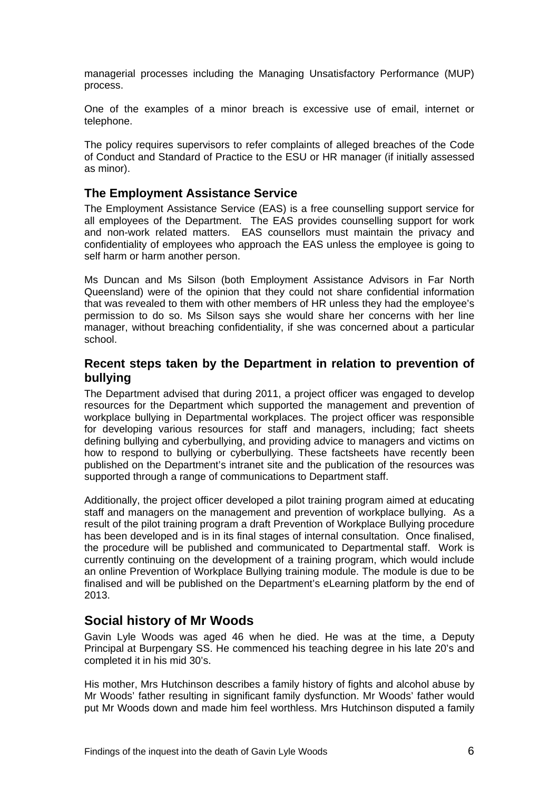managerial processes including the Managing Unsatisfactory Performance (MUP) process.

One of the examples of a minor breach is excessive use of email, internet or telephone.

The policy requires supervisors to refer complaints of alleged breaches of the Code of Conduct and Standard of Practice to the ESU or HR manager (if initially assessed as minor).

## <span id="page-7-0"></span>**The Employment Assistance Service**

The Employment Assistance Service (EAS) is a free counselling support service for all employees of the Department. The EAS provides counselling support for work and non-work related matters. EAS counsellors must maintain the privacy and confidentiality of employees who approach the EAS unless the employee is going to self harm or harm another person.

Ms Duncan and Ms Silson (both Employment Assistance Advisors in Far North Queensland) were of the opinion that they could not share confidential information that was revealed to them with other members of HR unless they had the employee's permission to do so. Ms Silson says she would share her concerns with her line manager, without breaching confidentiality, if she was concerned about a particular school.

#### **Recent steps taken by the Department in relation to prevention of bullying**

The Department advised that during 2011, a project officer was engaged to develop resources for the Department which supported the management and prevention of workplace bullying in Departmental workplaces. The project officer was responsible for developing various resources for staff and managers, including; fact sheets defining bullying and cyberbullying, and providing advice to managers and victims on how to respond to bullying or cyberbullying. These factsheets have recently been published on the Department's intranet site and the publication of the resources was supported through a range of communications to Department staff.

Additionally, the project officer developed a pilot training program aimed at educating staff and managers on the management and prevention of workplace bullying. As a result of the pilot training program a draft Prevention of Workplace Bullying procedure has been developed and is in its final stages of internal consultation. Once finalised, the procedure will be published and communicated to Departmental staff. Work is currently continuing on the development of a training program, which would include an online Prevention of Workplace Bullying training module. The module is due to be finalised and will be published on the Department's eLearning platform by the end of 2013.

# <span id="page-7-1"></span>**Social history of Mr Woods**

Gavin Lyle Woods was aged 46 when he died. He was at the time, a Deputy Principal at Burpengary SS. He commenced his teaching degree in his late 20's and completed it in his mid 30's.

His mother, Mrs Hutchinson describes a family history of fights and alcohol abuse by Mr Woods' father resulting in significant family dysfunction. Mr Woods' father would put Mr Woods down and made him feel worthless. Mrs Hutchinson disputed a family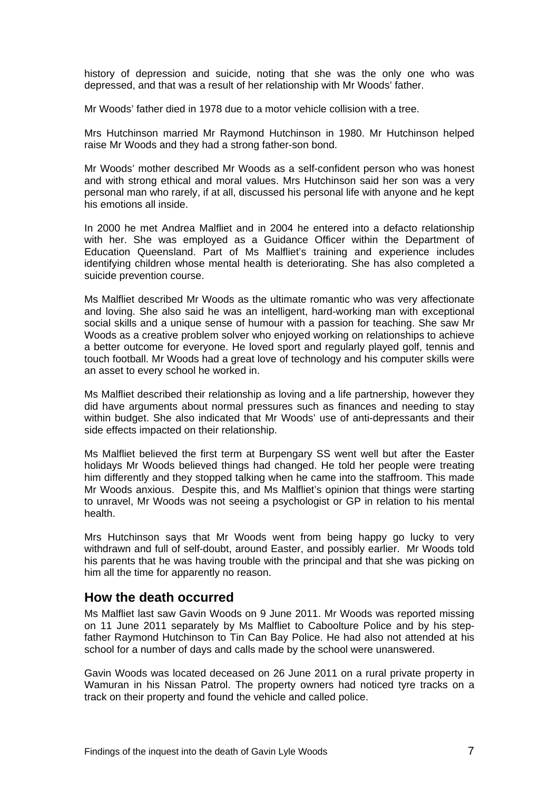history of depression and suicide, noting that she was the only one who was depressed, and that was a result of her relationship with Mr Woods' father.

Mr Woods' father died in 1978 due to a motor vehicle collision with a tree.

Mrs Hutchinson married Mr Raymond Hutchinson in 1980. Mr Hutchinson helped raise Mr Woods and they had a strong father-son bond.

Mr Woods' mother described Mr Woods as a self-confident person who was honest and with strong ethical and moral values. Mrs Hutchinson said her son was a very personal man who rarely, if at all, discussed his personal life with anyone and he kept his emotions all inside.

In 2000 he met Andrea Malfliet and in 2004 he entered into a defacto relationship with her. She was employed as a Guidance Officer within the Department of Education Queensland. Part of Ms Malfliet's training and experience includes identifying children whose mental health is deteriorating. She has also completed a suicide prevention course.

Ms Malfliet described Mr Woods as the ultimate romantic who was very affectionate and loving. She also said he was an intelligent, hard-working man with exceptional social skills and a unique sense of humour with a passion for teaching. She saw Mr Woods as a creative problem solver who enjoyed working on relationships to achieve a better outcome for everyone. He loved sport and regularly played golf, tennis and touch football. Mr Woods had a great love of technology and his computer skills were an asset to every school he worked in.

Ms Malfliet described their relationship as loving and a life partnership, however they did have arguments about normal pressures such as finances and needing to stay within budget. She also indicated that Mr Woods' use of anti-depressants and their side effects impacted on their relationship.

Ms Malfliet believed the first term at Burpengary SS went well but after the Easter holidays Mr Woods believed things had changed. He told her people were treating him differently and they stopped talking when he came into the staffroom. This made Mr Woods anxious. Despite this, and Ms Malfliet's opinion that things were starting to unravel, Mr Woods was not seeing a psychologist or GP in relation to his mental health.

Mrs Hutchinson says that Mr Woods went from being happy go lucky to very withdrawn and full of self-doubt, around Easter, and possibly earlier. Mr Woods told his parents that he was having trouble with the principal and that she was picking on him all the time for apparently no reason.

## <span id="page-8-0"></span>**How the death occurred**

Ms Malfliet last saw Gavin Woods on 9 June 2011. Mr Woods was reported missing on 11 June 2011 separately by Ms Malfliet to Caboolture Police and by his stepfather Raymond Hutchinson to Tin Can Bay Police. He had also not attended at his school for a number of days and calls made by the school were unanswered.

Gavin Woods was located deceased on 26 June 2011 on a rural private property in Wamuran in his Nissan Patrol. The property owners had noticed tyre tracks on a track on their property and found the vehicle and called police.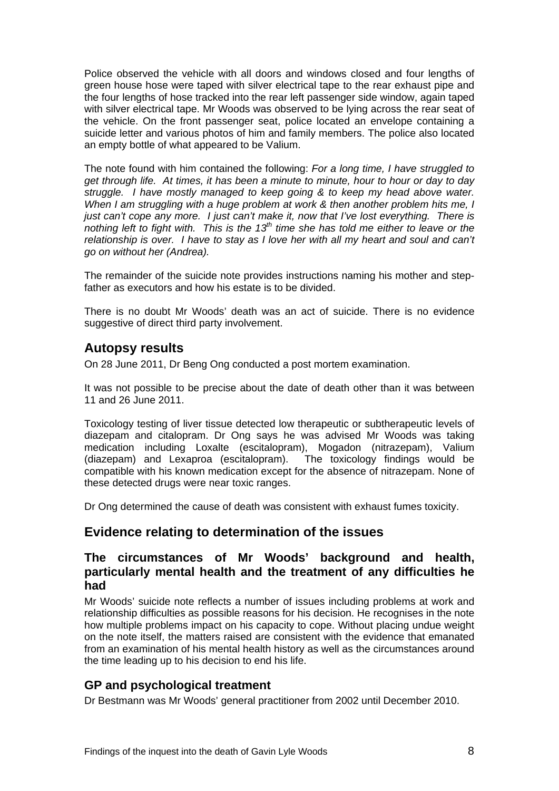Police observed the vehicle with all doors and windows closed and four lengths of green house hose were taped with silver electrical tape to the rear exhaust pipe and the four lengths of hose tracked into the rear left passenger side window, again taped with silver electrical tape. Mr Woods was observed to be lying across the rear seat of the vehicle. On the front passenger seat, police located an envelope containing a suicide letter and various photos of him and family members. The police also located an empty bottle of what appeared to be Valium.

The note found with him contained the following: *For a long time, I have struggled to get through life. At times, it has been a minute to minute, hour to hour or day to day struggle. I have mostly managed to keep going & to keep my head above water. When I am struggling with a huge problem at work & then another problem hits me, I just can't cope any more. I just can't make it, now that I've lost everything. There is*  nothing left to fight with. This is the 13<sup>th</sup> time she has told me either to leave or the *relationship is over. I have to stay as I love her with all my heart and soul and can't go on without her (Andrea).* 

The remainder of the suicide note provides instructions naming his mother and stepfather as executors and how his estate is to be divided.

There is no doubt Mr Woods' death was an act of suicide. There is no evidence suggestive of direct third party involvement.

# <span id="page-9-0"></span>**Autopsy results**

On 28 June 2011, Dr Beng Ong conducted a post mortem examination.

It was not possible to be precise about the date of death other than it was between 11 and 26 June 2011.

Toxicology testing of liver tissue detected low therapeutic or subtherapeutic levels of diazepam and citalopram. Dr Ong says he was advised Mr Woods was taking medication including Loxalte (escitalopram), Mogadon (nitrazepam), Valium (diazepam) and Lexaproa (escitalopram). The toxicology findings would be compatible with his known medication except for the absence of nitrazepam. None of these detected drugs were near toxic ranges.

Dr Ong determined the cause of death was consistent with exhaust fumes toxicity.

# <span id="page-9-1"></span>**Evidence relating to determination of the issues**

## <span id="page-9-2"></span>**The circumstances of Mr Woods' background and health, particularly mental health and the treatment of any difficulties he had**

Mr Woods' suicide note reflects a number of issues including problems at work and relationship difficulties as possible reasons for his decision. He recognises in the note how multiple problems impact on his capacity to cope. Without placing undue weight on the note itself, the matters raised are consistent with the evidence that emanated from an examination of his mental health history as well as the circumstances around the time leading up to his decision to end his life.

# <span id="page-9-3"></span>**GP and psychological treatment**

Dr Bestmann was Mr Woods' general practitioner from 2002 until December 2010.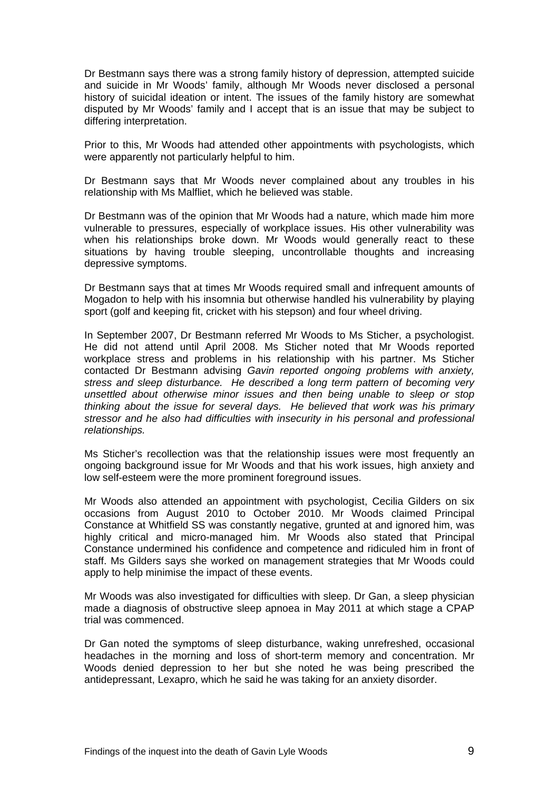Dr Bestmann says there was a strong family history of depression, attempted suicide and suicide in Mr Woods' family, although Mr Woods never disclosed a personal history of suicidal ideation or intent. The issues of the family history are somewhat disputed by Mr Woods' family and I accept that is an issue that may be subject to differing interpretation.

Prior to this, Mr Woods had attended other appointments with psychologists, which were apparently not particularly helpful to him.

Dr Bestmann says that Mr Woods never complained about any troubles in his relationship with Ms Malfliet, which he believed was stable.

Dr Bestmann was of the opinion that Mr Woods had a nature, which made him more vulnerable to pressures, especially of workplace issues. His other vulnerability was when his relationships broke down. Mr Woods would generally react to these situations by having trouble sleeping, uncontrollable thoughts and increasing depressive symptoms.

Dr Bestmann says that at times Mr Woods required small and infrequent amounts of Mogadon to help with his insomnia but otherwise handled his vulnerability by playing sport (golf and keeping fit, cricket with his stepson) and four wheel driving.

In September 2007, Dr Bestmann referred Mr Woods to Ms Sticher, a psychologist. He did not attend until April 2008. Ms Sticher noted that Mr Woods reported workplace stress and problems in his relationship with his partner. Ms Sticher contacted Dr Bestmann advising *Gavin reported ongoing problems with anxiety, stress and sleep disturbance. He described a long term pattern of becoming very unsettled about otherwise minor issues and then being unable to sleep or stop thinking about the issue for several days. He believed that work was his primary stressor and he also had difficulties with insecurity in his personal and professional relationships.* 

Ms Sticher's recollection was that the relationship issues were most frequently an ongoing background issue for Mr Woods and that his work issues, high anxiety and low self-esteem were the more prominent foreground issues.

Mr Woods also attended an appointment with psychologist, Cecilia Gilders on six occasions from August 2010 to October 2010. Mr Woods claimed Principal Constance at Whitfield SS was constantly negative, grunted at and ignored him, was highly critical and micro-managed him. Mr Woods also stated that Principal Constance undermined his confidence and competence and ridiculed him in front of staff. Ms Gilders says she worked on management strategies that Mr Woods could apply to help minimise the impact of these events.

Mr Woods was also investigated for difficulties with sleep. Dr Gan, a sleep physician made a diagnosis of obstructive sleep apnoea in May 2011 at which stage a CPAP trial was commenced.

Dr Gan noted the symptoms of sleep disturbance, waking unrefreshed, occasional headaches in the morning and loss of short-term memory and concentration. Mr Woods denied depression to her but she noted he was being prescribed the antidepressant, Lexapro, which he said he was taking for an anxiety disorder.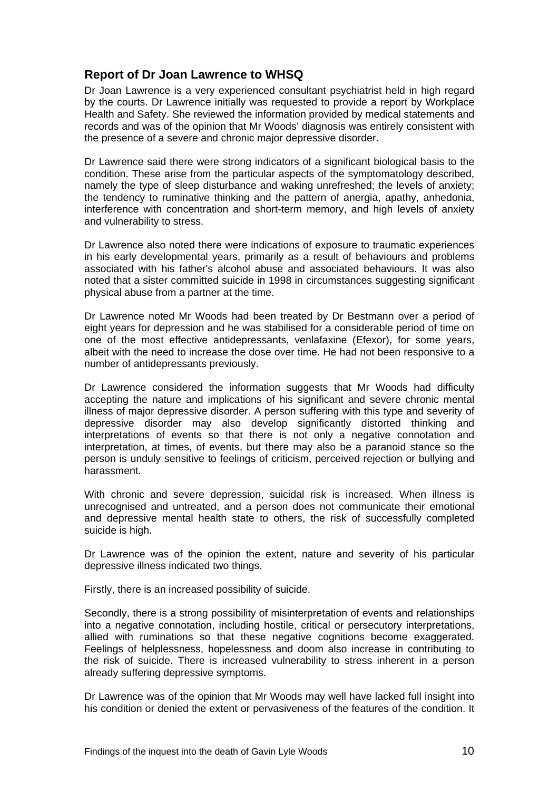# <span id="page-11-0"></span>**Report of Dr Joan Lawrence to WHSQ**

Dr Joan Lawrence is a very experienced consultant psychiatrist held in high regard by the courts. Dr Lawrence initially was requested to provide a report by Workplace Health and Safety. She reviewed the information provided by medical statements and records and was of the opinion that Mr Woods' diagnosis was entirely consistent with the presence of a severe and chronic major depressive disorder.

Dr Lawrence said there were strong indicators of a significant biological basis to the condition. These arise from the particular aspects of the symptomatology described, namely the type of sleep disturbance and waking unrefreshed; the levels of anxiety; the tendency to ruminative thinking and the pattern of anergia, apathy, anhedonia, interference with concentration and short-term memory, and high levels of anxiety and vulnerability to stress.

Dr Lawrence also noted there were indications of exposure to traumatic experiences in his early developmental years, primarily as a result of behaviours and problems associated with his father's alcohol abuse and associated behaviours. It was also noted that a sister committed suicide in 1998 in circumstances suggesting significant physical abuse from a partner at the time.

Dr Lawrence noted Mr Woods had been treated by Dr Bestmann over a period of eight years for depression and he was stabilised for a considerable period of time on one of the most effective antidepressants, venlafaxine (Efexor), for some years, albeit with the need to increase the dose over time. He had not been responsive to a number of antidepressants previously.

Dr Lawrence considered the information suggests that Mr Woods had difficulty accepting the nature and implications of his significant and severe chronic mental illness of major depressive disorder. A person suffering with this type and severity of depressive disorder may also develop significantly distorted thinking and interpretations of events so that there is not only a negative connotation and interpretation, at times, of events, but there may also be a paranoid stance so the person is unduly sensitive to feelings of criticism, perceived rejection or bullying and harassment.

With chronic and severe depression, suicidal risk is increased. When illness is unrecognised and untreated, and a person does not communicate their emotional and depressive mental health state to others, the risk of successfully completed suicide is high.

Dr Lawrence was of the opinion the extent, nature and severity of his particular depressive illness indicated two things.

Firstly, there is an increased possibility of suicide.

Secondly, there is a strong possibility of misinterpretation of events and relationships into a negative connotation, including hostile, critical or persecutory interpretations, allied with ruminations so that these negative cognitions become exaggerated. Feelings of helplessness, hopelessness and doom also increase in contributing to the risk of suicide. There is increased vulnerability to stress inherent in a person already suffering depressive symptoms.

Dr Lawrence was of the opinion that Mr Woods may well have lacked full insight into his condition or denied the extent or pervasiveness of the features of the condition. It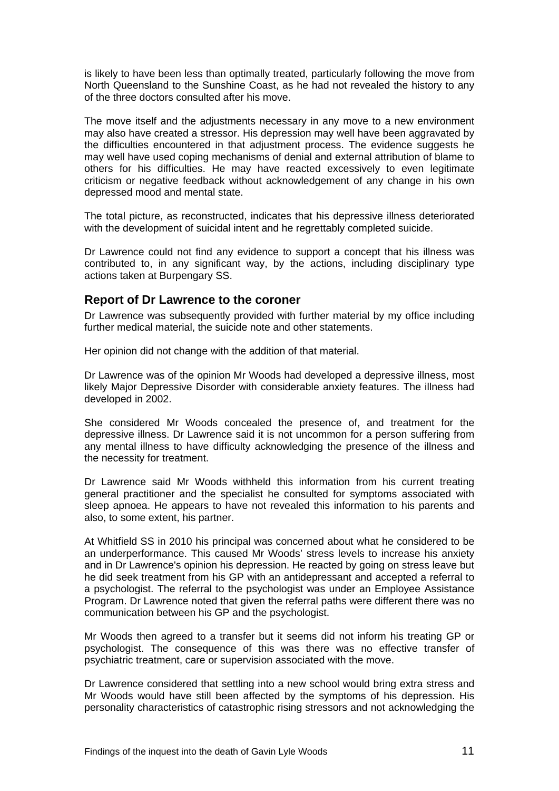is likely to have been less than optimally treated, particularly following the move from North Queensland to the Sunshine Coast, as he had not revealed the history to any of the three doctors consulted after his move.

The move itself and the adjustments necessary in any move to a new environment may also have created a stressor. His depression may well have been aggravated by the difficulties encountered in that adjustment process. The evidence suggests he may well have used coping mechanisms of denial and external attribution of blame to others for his difficulties. He may have reacted excessively to even legitimate criticism or negative feedback without acknowledgement of any change in his own depressed mood and mental state.

The total picture, as reconstructed, indicates that his depressive illness deteriorated with the development of suicidal intent and he regrettably completed suicide.

Dr Lawrence could not find any evidence to support a concept that his illness was contributed to, in any significant way, by the actions, including disciplinary type actions taken at Burpengary SS.

#### <span id="page-12-0"></span>**Report of Dr Lawrence to the coroner**

Dr Lawrence was subsequently provided with further material by my office including further medical material, the suicide note and other statements.

Her opinion did not change with the addition of that material.

Dr Lawrence was of the opinion Mr Woods had developed a depressive illness, most likely Major Depressive Disorder with considerable anxiety features. The illness had developed in 2002.

She considered Mr Woods concealed the presence of, and treatment for the depressive illness. Dr Lawrence said it is not uncommon for a person suffering from any mental illness to have difficulty acknowledging the presence of the illness and the necessity for treatment.

Dr Lawrence said Mr Woods withheld this information from his current treating general practitioner and the specialist he consulted for symptoms associated with sleep apnoea. He appears to have not revealed this information to his parents and also, to some extent, his partner.

At Whitfield SS in 2010 his principal was concerned about what he considered to be an underperformance. This caused Mr Woods' stress levels to increase his anxiety and in Dr Lawrence's opinion his depression. He reacted by going on stress leave but he did seek treatment from his GP with an antidepressant and accepted a referral to a psychologist. The referral to the psychologist was under an Employee Assistance Program. Dr Lawrence noted that given the referral paths were different there was no communication between his GP and the psychologist.

Mr Woods then agreed to a transfer but it seems did not inform his treating GP or psychologist. The consequence of this was there was no effective transfer of psychiatric treatment, care or supervision associated with the move.

Dr Lawrence considered that settling into a new school would bring extra stress and Mr Woods would have still been affected by the symptoms of his depression. His personality characteristics of catastrophic rising stressors and not acknowledging the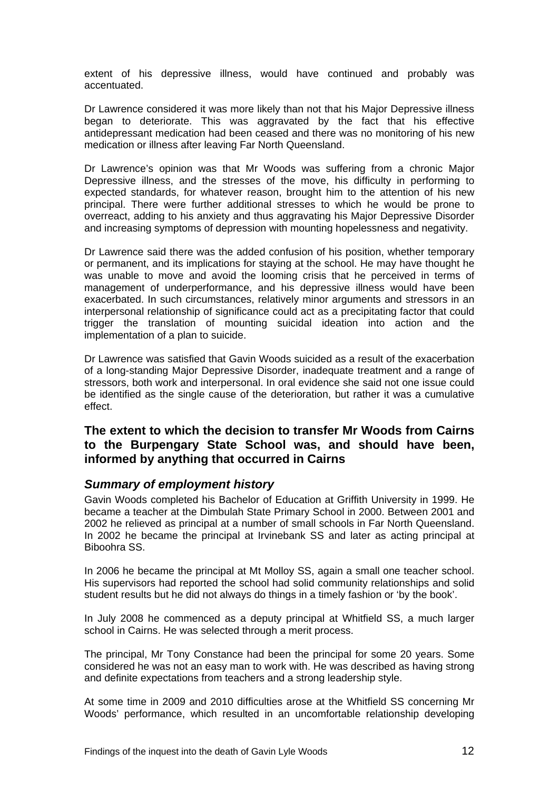extent of his depressive illness, would have continued and probably was accentuated.

Dr Lawrence considered it was more likely than not that his Major Depressive illness began to deteriorate. This was aggravated by the fact that his effective antidepressant medication had been ceased and there was no monitoring of his new medication or illness after leaving Far North Queensland.

Dr Lawrence's opinion was that Mr Woods was suffering from a chronic Major Depressive illness, and the stresses of the move, his difficulty in performing to expected standards, for whatever reason, brought him to the attention of his new principal. There were further additional stresses to which he would be prone to overreact, adding to his anxiety and thus aggravating his Major Depressive Disorder and increasing symptoms of depression with mounting hopelessness and negativity.

Dr Lawrence said there was the added confusion of his position, whether temporary or permanent, and its implications for staying at the school. He may have thought he was unable to move and avoid the looming crisis that he perceived in terms of management of underperformance, and his depressive illness would have been exacerbated. In such circumstances, relatively minor arguments and stressors in an interpersonal relationship of significance could act as a precipitating factor that could trigger the translation of mounting suicidal ideation into action and the implementation of a plan to suicide.

Dr Lawrence was satisfied that Gavin Woods suicided as a result of the exacerbation of a long-standing Major Depressive Disorder, inadequate treatment and a range of stressors, both work and interpersonal. In oral evidence she said not one issue could be identified as the single cause of the deterioration, but rather it was a cumulative effect.

## <span id="page-13-0"></span>**The extent to which the decision to transfer Mr Woods from Cairns to the Burpengary State School was, and should have been, informed by anything that occurred in Cairns**

## <span id="page-13-1"></span>*Summary of employment history*

Gavin Woods completed his Bachelor of Education at Griffith University in 1999. He became a teacher at the Dimbulah State Primary School in 2000. Between 2001 and 2002 he relieved as principal at a number of small schools in Far North Queensland. In 2002 he became the principal at Irvinebank SS and later as acting principal at Biboohra SS.

In 2006 he became the principal at Mt Molloy SS, again a small one teacher school. His supervisors had reported the school had solid community relationships and solid student results but he did not always do things in a timely fashion or 'by the book'.

In July 2008 he commenced as a deputy principal at Whitfield SS, a much larger school in Cairns. He was selected through a merit process.

The principal, Mr Tony Constance had been the principal for some 20 years. Some considered he was not an easy man to work with. He was described as having strong and definite expectations from teachers and a strong leadership style.

At some time in 2009 and 2010 difficulties arose at the Whitfield SS concerning Mr Woods' performance, which resulted in an uncomfortable relationship developing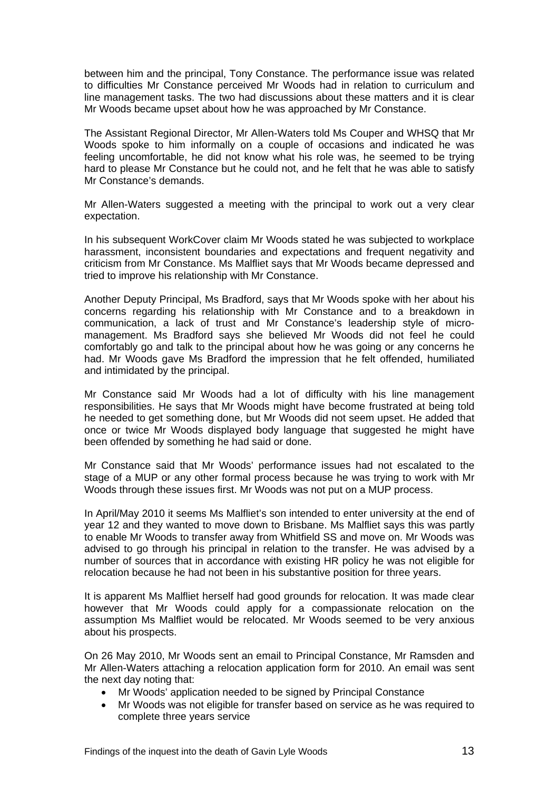between him and the principal, Tony Constance. The performance issue was related to difficulties Mr Constance perceived Mr Woods had in relation to curriculum and line management tasks. The two had discussions about these matters and it is clear Mr Woods became upset about how he was approached by Mr Constance.

The Assistant Regional Director, Mr Allen-Waters told Ms Couper and WHSQ that Mr Woods spoke to him informally on a couple of occasions and indicated he was feeling uncomfortable, he did not know what his role was, he seemed to be trying hard to please Mr Constance but he could not, and he felt that he was able to satisfy Mr Constance's demands.

Mr Allen-Waters suggested a meeting with the principal to work out a very clear expectation.

In his subsequent WorkCover claim Mr Woods stated he was subjected to workplace harassment, inconsistent boundaries and expectations and frequent negativity and criticism from Mr Constance. Ms Malfliet says that Mr Woods became depressed and tried to improve his relationship with Mr Constance.

Another Deputy Principal, Ms Bradford, says that Mr Woods spoke with her about his concerns regarding his relationship with Mr Constance and to a breakdown in communication, a lack of trust and Mr Constance's leadership style of micromanagement. Ms Bradford says she believed Mr Woods did not feel he could comfortably go and talk to the principal about how he was going or any concerns he had. Mr Woods gave Ms Bradford the impression that he felt offended, humiliated and intimidated by the principal.

Mr Constance said Mr Woods had a lot of difficulty with his line management responsibilities. He says that Mr Woods might have become frustrated at being told he needed to get something done, but Mr Woods did not seem upset. He added that once or twice Mr Woods displayed body language that suggested he might have been offended by something he had said or done.

Mr Constance said that Mr Woods' performance issues had not escalated to the stage of a MUP or any other formal process because he was trying to work with Mr Woods through these issues first. Mr Woods was not put on a MUP process.

In April/May 2010 it seems Ms Malfliet's son intended to enter university at the end of year 12 and they wanted to move down to Brisbane. Ms Malfliet says this was partly to enable Mr Woods to transfer away from Whitfield SS and move on. Mr Woods was advised to go through his principal in relation to the transfer. He was advised by a number of sources that in accordance with existing HR policy he was not eligible for relocation because he had not been in his substantive position for three years.

It is apparent Ms Malfliet herself had good grounds for relocation. It was made clear however that Mr Woods could apply for a compassionate relocation on the assumption Ms Malfliet would be relocated. Mr Woods seemed to be very anxious about his prospects.

On 26 May 2010, Mr Woods sent an email to Principal Constance, Mr Ramsden and Mr Allen-Waters attaching a relocation application form for 2010. An email was sent the next day noting that:

- Mr Woods' application needed to be signed by Principal Constance
- Mr Woods was not eligible for transfer based on service as he was required to complete three years service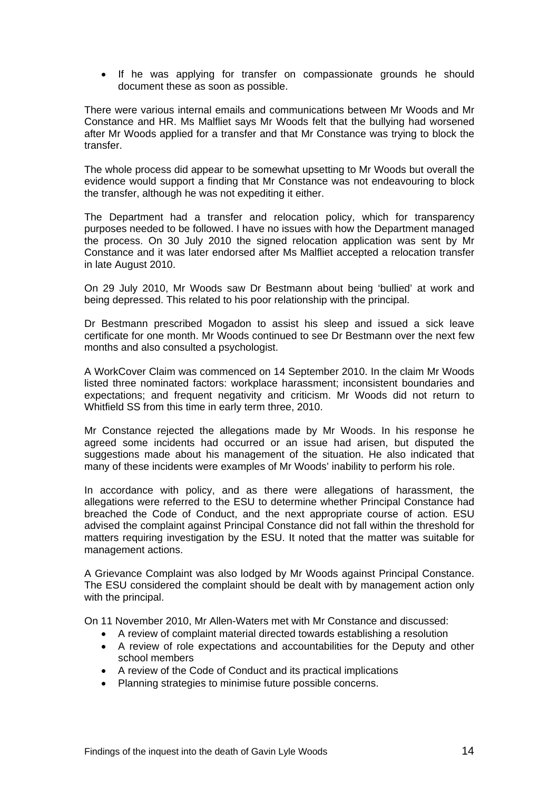• If he was applying for transfer on compassionate grounds he should document these as soon as possible.

There were various internal emails and communications between Mr Woods and Mr Constance and HR. Ms Malfliet says Mr Woods felt that the bullying had worsened after Mr Woods applied for a transfer and that Mr Constance was trying to block the transfer.

The whole process did appear to be somewhat upsetting to Mr Woods but overall the evidence would support a finding that Mr Constance was not endeavouring to block the transfer, although he was not expediting it either.

The Department had a transfer and relocation policy, which for transparency purposes needed to be followed. I have no issues with how the Department managed the process. On 30 July 2010 the signed relocation application was sent by Mr Constance and it was later endorsed after Ms Malfliet accepted a relocation transfer in late August 2010.

On 29 July 2010, Mr Woods saw Dr Bestmann about being 'bullied' at work and being depressed. This related to his poor relationship with the principal.

Dr Bestmann prescribed Mogadon to assist his sleep and issued a sick leave certificate for one month. Mr Woods continued to see Dr Bestmann over the next few months and also consulted a psychologist.

A WorkCover Claim was commenced on 14 September 2010. In the claim Mr Woods listed three nominated factors: workplace harassment; inconsistent boundaries and expectations; and frequent negativity and criticism. Mr Woods did not return to Whitfield SS from this time in early term three, 2010.

Mr Constance rejected the allegations made by Mr Woods. In his response he agreed some incidents had occurred or an issue had arisen, but disputed the suggestions made about his management of the situation. He also indicated that many of these incidents were examples of Mr Woods' inability to perform his role.

In accordance with policy, and as there were allegations of harassment, the allegations were referred to the ESU to determine whether Principal Constance had breached the Code of Conduct, and the next appropriate course of action. ESU advised the complaint against Principal Constance did not fall within the threshold for matters requiring investigation by the ESU. It noted that the matter was suitable for management actions.

A Grievance Complaint was also lodged by Mr Woods against Principal Constance. The ESU considered the complaint should be dealt with by management action only with the principal.

On 11 November 2010, Mr Allen-Waters met with Mr Constance and discussed:

- A review of complaint material directed towards establishing a resolution
- A review of role expectations and accountabilities for the Deputy and other school members
- A review of the Code of Conduct and its practical implications
- Planning strategies to minimise future possible concerns.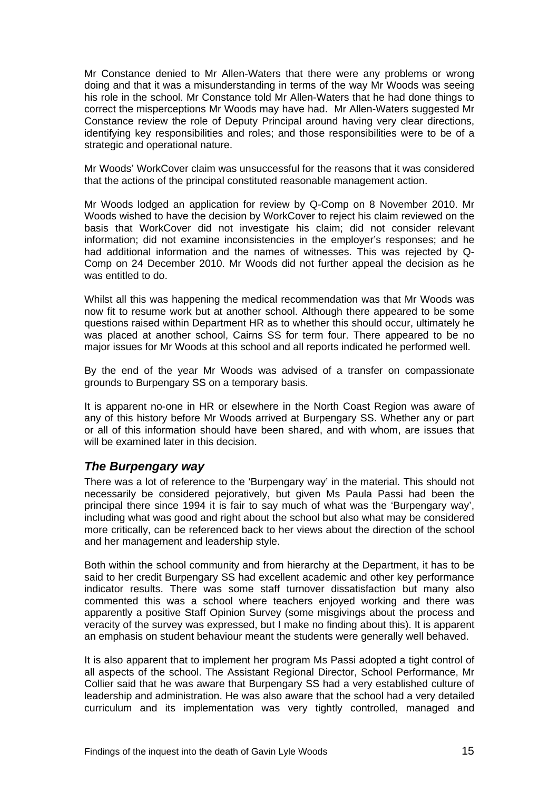Mr Constance denied to Mr Allen-Waters that there were any problems or wrong doing and that it was a misunderstanding in terms of the way Mr Woods was seeing his role in the school. Mr Constance told Mr Allen-Waters that he had done things to correct the misperceptions Mr Woods may have had. Mr Allen-Waters suggested Mr Constance review the role of Deputy Principal around having very clear directions, identifying key responsibilities and roles; and those responsibilities were to be of a strategic and operational nature.

Mr Woods' WorkCover claim was unsuccessful for the reasons that it was considered that the actions of the principal constituted reasonable management action.

Mr Woods lodged an application for review by Q-Comp on 8 November 2010. Mr Woods wished to have the decision by WorkCover to reject his claim reviewed on the basis that WorkCover did not investigate his claim; did not consider relevant information; did not examine inconsistencies in the employer's responses; and he had additional information and the names of witnesses. This was rejected by Q-Comp on 24 December 2010. Mr Woods did not further appeal the decision as he was entitled to do.

Whilst all this was happening the medical recommendation was that Mr Woods was now fit to resume work but at another school. Although there appeared to be some questions raised within Department HR as to whether this should occur, ultimately he was placed at another school, Cairns SS for term four. There appeared to be no major issues for Mr Woods at this school and all reports indicated he performed well.

By the end of the year Mr Woods was advised of a transfer on compassionate grounds to Burpengary SS on a temporary basis.

It is apparent no-one in HR or elsewhere in the North Coast Region was aware of any of this history before Mr Woods arrived at Burpengary SS. Whether any or part or all of this information should have been shared, and with whom, are issues that will be examined later in this decision.

## <span id="page-16-0"></span>*The Burpengary way*

There was a lot of reference to the 'Burpengary way' in the material. This should not necessarily be considered pejoratively, but given Ms Paula Passi had been the principal there since 1994 it is fair to say much of what was the 'Burpengary way', including what was good and right about the school but also what may be considered more critically, can be referenced back to her views about the direction of the school and her management and leadership style.

Both within the school community and from hierarchy at the Department, it has to be said to her credit Burpengary SS had excellent academic and other key performance indicator results. There was some staff turnover dissatisfaction but many also commented this was a school where teachers enjoyed working and there was apparently a positive Staff Opinion Survey (some misgivings about the process and veracity of the survey was expressed, but I make no finding about this). It is apparent an emphasis on student behaviour meant the students were generally well behaved.

It is also apparent that to implement her program Ms Passi adopted a tight control of all aspects of the school. The Assistant Regional Director, School Performance, Mr Collier said that he was aware that Burpengary SS had a very established culture of leadership and administration. He was also aware that the school had a very detailed curriculum and its implementation was very tightly controlled, managed and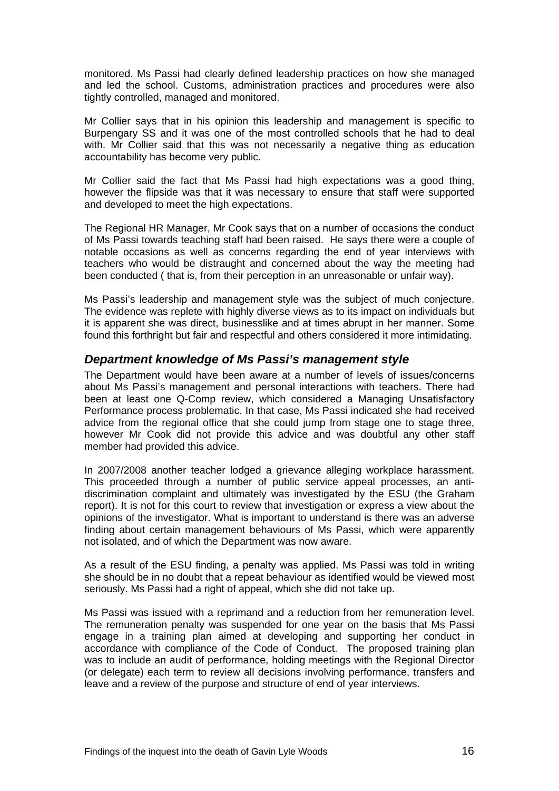monitored. Ms Passi had clearly defined leadership practices on how she managed and led the school. Customs, administration practices and procedures were also tightly controlled, managed and monitored.

Mr Collier says that in his opinion this leadership and management is specific to Burpengary SS and it was one of the most controlled schools that he had to deal with. Mr Collier said that this was not necessarily a negative thing as education accountability has become very public.

Mr Collier said the fact that Ms Passi had high expectations was a good thing, however the flipside was that it was necessary to ensure that staff were supported and developed to meet the high expectations.

The Regional HR Manager, Mr Cook says that on a number of occasions the conduct of Ms Passi towards teaching staff had been raised. He says there were a couple of notable occasions as well as concerns regarding the end of year interviews with teachers who would be distraught and concerned about the way the meeting had been conducted ( that is, from their perception in an unreasonable or unfair way).

Ms Passi's leadership and management style was the subject of much conjecture. The evidence was replete with highly diverse views as to its impact on individuals but it is apparent she was direct, businesslike and at times abrupt in her manner. Some found this forthright but fair and respectful and others considered it more intimidating.

#### <span id="page-17-0"></span>*Department knowledge of Ms Passi's management style*

The Department would have been aware at a number of levels of issues/concerns about Ms Passi's management and personal interactions with teachers. There had been at least one Q-Comp review, which considered a Managing Unsatisfactory Performance process problematic. In that case, Ms Passi indicated she had received advice from the regional office that she could jump from stage one to stage three, however Mr Cook did not provide this advice and was doubtful any other staff member had provided this advice.

In 2007/2008 another teacher lodged a grievance alleging workplace harassment. This proceeded through a number of public service appeal processes, an antidiscrimination complaint and ultimately was investigated by the ESU (the Graham report). It is not for this court to review that investigation or express a view about the opinions of the investigator. What is important to understand is there was an adverse finding about certain management behaviours of Ms Passi, which were apparently not isolated, and of which the Department was now aware.

As a result of the ESU finding, a penalty was applied. Ms Passi was told in writing she should be in no doubt that a repeat behaviour as identified would be viewed most seriously. Ms Passi had a right of appeal, which she did not take up.

Ms Passi was issued with a reprimand and a reduction from her remuneration level. The remuneration penalty was suspended for one year on the basis that Ms Passi engage in a training plan aimed at developing and supporting her conduct in accordance with compliance of the Code of Conduct. The proposed training plan was to include an audit of performance, holding meetings with the Regional Director (or delegate) each term to review all decisions involving performance, transfers and leave and a review of the purpose and structure of end of year interviews.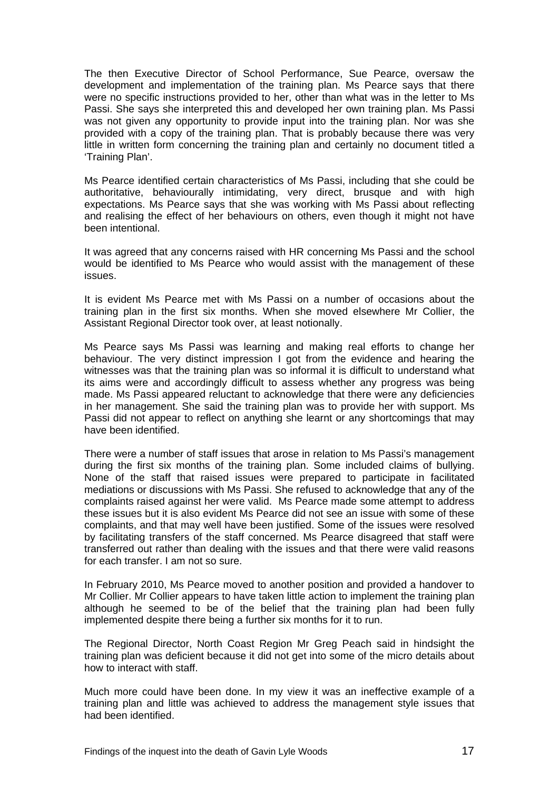The then Executive Director of School Performance, Sue Pearce, oversaw the development and implementation of the training plan. Ms Pearce says that there were no specific instructions provided to her, other than what was in the letter to Ms Passi. She says she interpreted this and developed her own training plan. Ms Passi was not given any opportunity to provide input into the training plan. Nor was she provided with a copy of the training plan. That is probably because there was very little in written form concerning the training plan and certainly no document titled a 'Training Plan'.

Ms Pearce identified certain characteristics of Ms Passi, including that she could be authoritative, behaviourally intimidating, very direct, brusque and with high expectations. Ms Pearce says that she was working with Ms Passi about reflecting and realising the effect of her behaviours on others, even though it might not have been intentional.

It was agreed that any concerns raised with HR concerning Ms Passi and the school would be identified to Ms Pearce who would assist with the management of these issues.

It is evident Ms Pearce met with Ms Passi on a number of occasions about the training plan in the first six months. When she moved elsewhere Mr Collier, the Assistant Regional Director took over, at least notionally.

Ms Pearce says Ms Passi was learning and making real efforts to change her behaviour. The very distinct impression I got from the evidence and hearing the witnesses was that the training plan was so informal it is difficult to understand what its aims were and accordingly difficult to assess whether any progress was being made. Ms Passi appeared reluctant to acknowledge that there were any deficiencies in her management. She said the training plan was to provide her with support. Ms Passi did not appear to reflect on anything she learnt or any shortcomings that may have been identified.

There were a number of staff issues that arose in relation to Ms Passi's management during the first six months of the training plan. Some included claims of bullying. None of the staff that raised issues were prepared to participate in facilitated mediations or discussions with Ms Passi. She refused to acknowledge that any of the complaints raised against her were valid. Ms Pearce made some attempt to address these issues but it is also evident Ms Pearce did not see an issue with some of these complaints, and that may well have been justified. Some of the issues were resolved by facilitating transfers of the staff concerned. Ms Pearce disagreed that staff were transferred out rather than dealing with the issues and that there were valid reasons for each transfer. I am not so sure.

In February 2010, Ms Pearce moved to another position and provided a handover to Mr Collier. Mr Collier appears to have taken little action to implement the training plan although he seemed to be of the belief that the training plan had been fully implemented despite there being a further six months for it to run.

The Regional Director, North Coast Region Mr Greg Peach said in hindsight the training plan was deficient because it did not get into some of the micro details about how to interact with staff.

Much more could have been done. In my view it was an ineffective example of a training plan and little was achieved to address the management style issues that had been identified.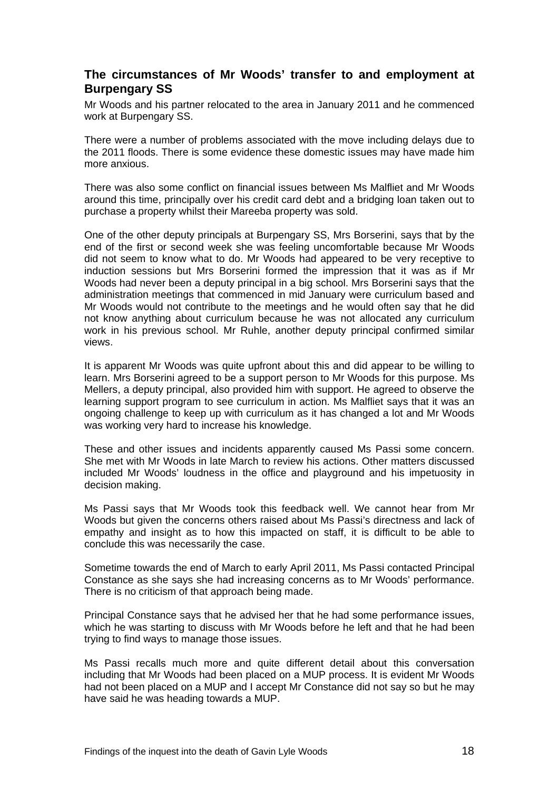# <span id="page-19-0"></span>**The circumstances of Mr Woods' transfer to and employment at Burpengary SS**

Mr Woods and his partner relocated to the area in January 2011 and he commenced work at Burpengary SS.

There were a number of problems associated with the move including delays due to the 2011 floods. There is some evidence these domestic issues may have made him more anxious.

There was also some conflict on financial issues between Ms Malfliet and Mr Woods around this time, principally over his credit card debt and a bridging loan taken out to purchase a property whilst their Mareeba property was sold.

One of the other deputy principals at Burpengary SS, Mrs Borserini, says that by the end of the first or second week she was feeling uncomfortable because Mr Woods did not seem to know what to do. Mr Woods had appeared to be very receptive to induction sessions but Mrs Borserini formed the impression that it was as if Mr Woods had never been a deputy principal in a big school. Mrs Borserini says that the administration meetings that commenced in mid January were curriculum based and Mr Woods would not contribute to the meetings and he would often say that he did not know anything about curriculum because he was not allocated any curriculum work in his previous school. Mr Ruhle, another deputy principal confirmed similar views.

It is apparent Mr Woods was quite upfront about this and did appear to be willing to learn. Mrs Borserini agreed to be a support person to Mr Woods for this purpose. Ms Mellers, a deputy principal, also provided him with support. He agreed to observe the learning support program to see curriculum in action. Ms Malfliet says that it was an ongoing challenge to keep up with curriculum as it has changed a lot and Mr Woods was working very hard to increase his knowledge.

These and other issues and incidents apparently caused Ms Passi some concern. She met with Mr Woods in late March to review his actions. Other matters discussed included Mr Woods' loudness in the office and playground and his impetuosity in decision making.

Ms Passi says that Mr Woods took this feedback well. We cannot hear from Mr Woods but given the concerns others raised about Ms Passi's directness and lack of empathy and insight as to how this impacted on staff, it is difficult to be able to conclude this was necessarily the case.

Sometime towards the end of March to early April 2011, Ms Passi contacted Principal Constance as she says she had increasing concerns as to Mr Woods' performance. There is no criticism of that approach being made.

Principal Constance says that he advised her that he had some performance issues, which he was starting to discuss with Mr Woods before he left and that he had been trying to find ways to manage those issues.

Ms Passi recalls much more and quite different detail about this conversation including that Mr Woods had been placed on a MUP process. It is evident Mr Woods had not been placed on a MUP and I accept Mr Constance did not say so but he may have said he was heading towards a MUP.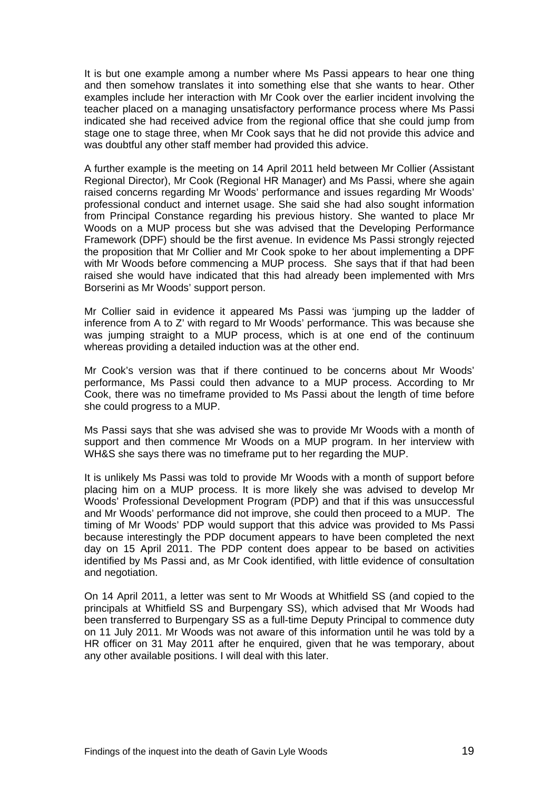It is but one example among a number where Ms Passi appears to hear one thing and then somehow translates it into something else that she wants to hear. Other examples include her interaction with Mr Cook over the earlier incident involving the teacher placed on a managing unsatisfactory performance process where Ms Passi indicated she had received advice from the regional office that she could jump from stage one to stage three, when Mr Cook says that he did not provide this advice and was doubtful any other staff member had provided this advice.

A further example is the meeting on 14 April 2011 held between Mr Collier (Assistant Regional Director), Mr Cook (Regional HR Manager) and Ms Passi, where she again raised concerns regarding Mr Woods' performance and issues regarding Mr Woods' professional conduct and internet usage. She said she had also sought information from Principal Constance regarding his previous history. She wanted to place Mr Woods on a MUP process but she was advised that the Developing Performance Framework (DPF) should be the first avenue. In evidence Ms Passi strongly rejected the proposition that Mr Collier and Mr Cook spoke to her about implementing a DPF with Mr Woods before commencing a MUP process. She says that if that had been raised she would have indicated that this had already been implemented with Mrs Borserini as Mr Woods' support person.

Mr Collier said in evidence it appeared Ms Passi was 'jumping up the ladder of inference from A to Z' with regard to Mr Woods' performance. This was because she was jumping straight to a MUP process, which is at one end of the continuum whereas providing a detailed induction was at the other end.

Mr Cook's version was that if there continued to be concerns about Mr Woods' performance, Ms Passi could then advance to a MUP process. According to Mr Cook, there was no timeframe provided to Ms Passi about the length of time before she could progress to a MUP.

Ms Passi says that she was advised she was to provide Mr Woods with a month of support and then commence Mr Woods on a MUP program. In her interview with WH&S she says there was no timeframe put to her regarding the MUP.

It is unlikely Ms Passi was told to provide Mr Woods with a month of support before placing him on a MUP process. It is more likely she was advised to develop Mr Woods' Professional Development Program (PDP) and that if this was unsuccessful and Mr Woods' performance did not improve, she could then proceed to a MUP. The timing of Mr Woods' PDP would support that this advice was provided to Ms Passi because interestingly the PDP document appears to have been completed the next day on 15 April 2011. The PDP content does appear to be based on activities identified by Ms Passi and, as Mr Cook identified, with little evidence of consultation and negotiation.

On 14 April 2011, a letter was sent to Mr Woods at Whitfield SS (and copied to the principals at Whitfield SS and Burpengary SS), which advised that Mr Woods had been transferred to Burpengary SS as a full-time Deputy Principal to commence duty on 11 July 2011. Mr Woods was not aware of this information until he was told by a HR officer on 31 May 2011 after he enquired, given that he was temporary, about any other available positions. I will deal with this later.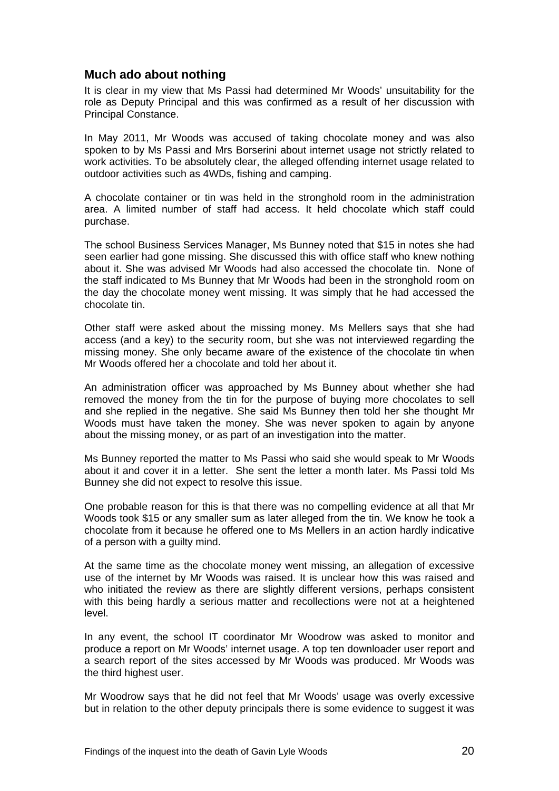## <span id="page-21-0"></span>**Much ado about nothing**

It is clear in my view that Ms Passi had determined Mr Woods' unsuitability for the role as Deputy Principal and this was confirmed as a result of her discussion with Principal Constance.

In May 2011, Mr Woods was accused of taking chocolate money and was also spoken to by Ms Passi and Mrs Borserini about internet usage not strictly related to work activities. To be absolutely clear, the alleged offending internet usage related to outdoor activities such as 4WDs, fishing and camping.

A chocolate container or tin was held in the stronghold room in the administration area. A limited number of staff had access. It held chocolate which staff could purchase.

The school Business Services Manager, Ms Bunney noted that \$15 in notes she had seen earlier had gone missing. She discussed this with office staff who knew nothing about it. She was advised Mr Woods had also accessed the chocolate tin. None of the staff indicated to Ms Bunney that Mr Woods had been in the stronghold room on the day the chocolate money went missing. It was simply that he had accessed the chocolate tin.

Other staff were asked about the missing money. Ms Mellers says that she had access (and a key) to the security room, but she was not interviewed regarding the missing money. She only became aware of the existence of the chocolate tin when Mr Woods offered her a chocolate and told her about it.

An administration officer was approached by Ms Bunney about whether she had removed the money from the tin for the purpose of buying more chocolates to sell and she replied in the negative. She said Ms Bunney then told her she thought Mr Woods must have taken the money. She was never spoken to again by anyone about the missing money, or as part of an investigation into the matter.

Ms Bunney reported the matter to Ms Passi who said she would speak to Mr Woods about it and cover it in a letter. She sent the letter a month later. Ms Passi told Ms Bunney she did not expect to resolve this issue.

One probable reason for this is that there was no compelling evidence at all that Mr Woods took \$15 or any smaller sum as later alleged from the tin. We know he took a chocolate from it because he offered one to Ms Mellers in an action hardly indicative of a person with a guilty mind.

At the same time as the chocolate money went missing, an allegation of excessive use of the internet by Mr Woods was raised. It is unclear how this was raised and who initiated the review as there are slightly different versions, perhaps consistent with this being hardly a serious matter and recollections were not at a heightened level.

In any event, the school IT coordinator Mr Woodrow was asked to monitor and produce a report on Mr Woods' internet usage. A top ten downloader user report and a search report of the sites accessed by Mr Woods was produced. Mr Woods was the third highest user.

Mr Woodrow says that he did not feel that Mr Woods' usage was overly excessive but in relation to the other deputy principals there is some evidence to suggest it was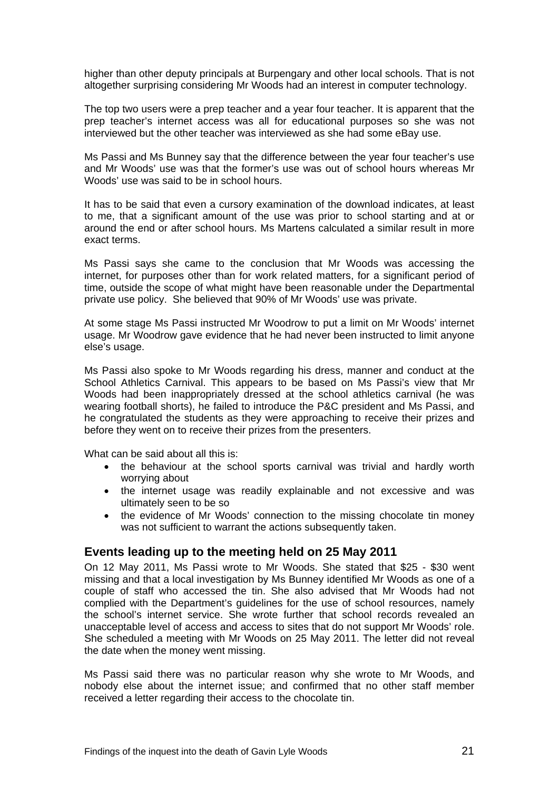higher than other deputy principals at Burpengary and other local schools. That is not altogether surprising considering Mr Woods had an interest in computer technology.

The top two users were a prep teacher and a year four teacher. It is apparent that the prep teacher's internet access was all for educational purposes so she was not interviewed but the other teacher was interviewed as she had some eBay use.

Ms Passi and Ms Bunney say that the difference between the year four teacher's use and Mr Woods' use was that the former's use was out of school hours whereas Mr Woods' use was said to be in school hours.

It has to be said that even a cursory examination of the download indicates, at least to me, that a significant amount of the use was prior to school starting and at or around the end or after school hours. Ms Martens calculated a similar result in more exact terms.

Ms Passi says she came to the conclusion that Mr Woods was accessing the internet, for purposes other than for work related matters, for a significant period of time, outside the scope of what might have been reasonable under the Departmental private use policy. She believed that 90% of Mr Woods' use was private.

At some stage Ms Passi instructed Mr Woodrow to put a limit on Mr Woods' internet usage. Mr Woodrow gave evidence that he had never been instructed to limit anyone else's usage.

Ms Passi also spoke to Mr Woods regarding his dress, manner and conduct at the School Athletics Carnival. This appears to be based on Ms Passi's view that Mr Woods had been inappropriately dressed at the school athletics carnival (he was wearing football shorts), he failed to introduce the P&C president and Ms Passi, and he congratulated the students as they were approaching to receive their prizes and before they went on to receive their prizes from the presenters.

What can be said about all this is:

- the behaviour at the school sports carnival was trivial and hardly worth worrying about
- the internet usage was readily explainable and not excessive and was ultimately seen to be so
- the evidence of Mr Woods' connection to the missing chocolate tin money was not sufficient to warrant the actions subsequently taken.

#### <span id="page-22-0"></span>**Events leading up to the meeting held on 25 May 2011**

On 12 May 2011, Ms Passi wrote to Mr Woods. She stated that \$25 - \$30 went missing and that a local investigation by Ms Bunney identified Mr Woods as one of a couple of staff who accessed the tin. She also advised that Mr Woods had not complied with the Department's guidelines for the use of school resources, namely the school's internet service. She wrote further that school records revealed an unacceptable level of access and access to sites that do not support Mr Woods' role. She scheduled a meeting with Mr Woods on 25 May 2011. The letter did not reveal the date when the money went missing.

Ms Passi said there was no particular reason why she wrote to Mr Woods, and nobody else about the internet issue; and confirmed that no other staff member received a letter regarding their access to the chocolate tin.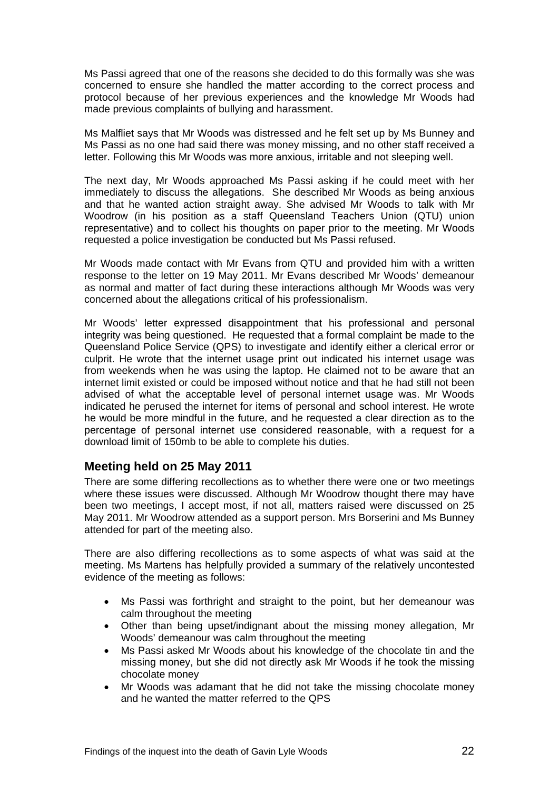Ms Passi agreed that one of the reasons she decided to do this formally was she was concerned to ensure she handled the matter according to the correct process and protocol because of her previous experiences and the knowledge Mr Woods had made previous complaints of bullying and harassment.

Ms Malfliet says that Mr Woods was distressed and he felt set up by Ms Bunney and Ms Passi as no one had said there was money missing, and no other staff received a letter. Following this Mr Woods was more anxious, irritable and not sleeping well.

The next day, Mr Woods approached Ms Passi asking if he could meet with her immediately to discuss the allegations. She described Mr Woods as being anxious and that he wanted action straight away. She advised Mr Woods to talk with Mr Woodrow (in his position as a staff Queensland Teachers Union (QTU) union representative) and to collect his thoughts on paper prior to the meeting. Mr Woods requested a police investigation be conducted but Ms Passi refused.

Mr Woods made contact with Mr Evans from QTU and provided him with a written response to the letter on 19 May 2011. Mr Evans described Mr Woods' demeanour as normal and matter of fact during these interactions although Mr Woods was very concerned about the allegations critical of his professionalism.

Mr Woods' letter expressed disappointment that his professional and personal integrity was being questioned. He requested that a formal complaint be made to the Queensland Police Service (QPS) to investigate and identify either a clerical error or culprit. He wrote that the internet usage print out indicated his internet usage was from weekends when he was using the laptop. He claimed not to be aware that an internet limit existed or could be imposed without notice and that he had still not been advised of what the acceptable level of personal internet usage was. Mr Woods indicated he perused the internet for items of personal and school interest. He wrote he would be more mindful in the future, and he requested a clear direction as to the percentage of personal internet use considered reasonable, with a request for a download limit of 150mb to be able to complete his duties.

# <span id="page-23-0"></span>**Meeting held on 25 May 2011**

There are some differing recollections as to whether there were one or two meetings where these issues were discussed. Although Mr Woodrow thought there may have been two meetings, I accept most, if not all, matters raised were discussed on 25 May 2011. Mr Woodrow attended as a support person. Mrs Borserini and Ms Bunney attended for part of the meeting also.

There are also differing recollections as to some aspects of what was said at the meeting. Ms Martens has helpfully provided a summary of the relatively uncontested evidence of the meeting as follows:

- Ms Passi was forthright and straight to the point, but her demeanour was calm throughout the meeting
- Other than being upset/indignant about the missing money allegation, Mr Woods' demeanour was calm throughout the meeting
- Ms Passi asked Mr Woods about his knowledge of the chocolate tin and the missing money, but she did not directly ask Mr Woods if he took the missing chocolate money
- Mr Woods was adamant that he did not take the missing chocolate money and he wanted the matter referred to the QPS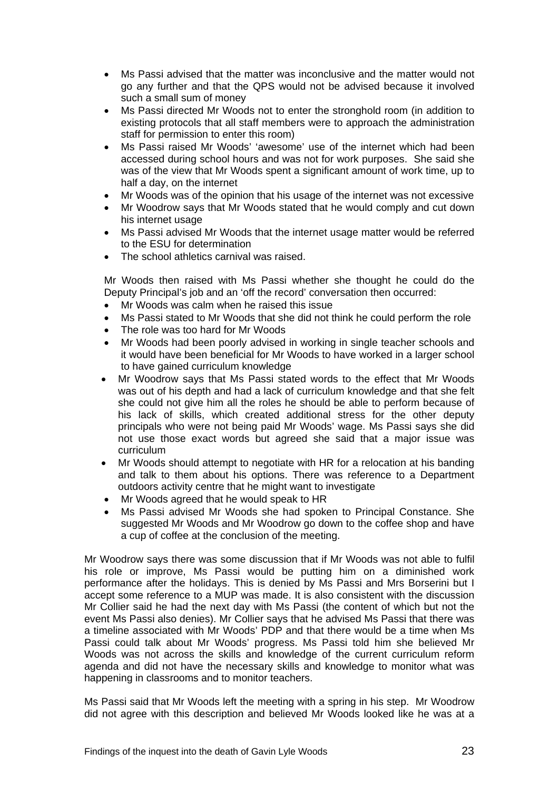- Ms Passi advised that the matter was inconclusive and the matter would not go any further and that the QPS would not be advised because it involved such a small sum of money
- Ms Passi directed Mr Woods not to enter the stronghold room (in addition to existing protocols that all staff members were to approach the administration staff for permission to enter this room)
- Ms Passi raised Mr Woods' 'awesome' use of the internet which had been accessed during school hours and was not for work purposes. She said she was of the view that Mr Woods spent a significant amount of work time, up to half a day, on the internet
- Mr Woods was of the opinion that his usage of the internet was not excessive
- Mr Woodrow says that Mr Woods stated that he would comply and cut down his internet usage
- Ms Passi advised Mr Woods that the internet usage matter would be referred to the ESU for determination
- The school athletics carnival was raised.

Mr Woods then raised with Ms Passi whether she thought he could do the Deputy Principal's job and an 'off the record' conversation then occurred:

- Mr Woods was calm when he raised this issue
- Ms Passi stated to Mr Woods that she did not think he could perform the role
- The role was too hard for Mr Woods
- Mr Woods had been poorly advised in working in single teacher schools and it would have been beneficial for Mr Woods to have worked in a larger school to have gained curriculum knowledge
- Mr Woodrow says that Ms Passi stated words to the effect that Mr Woods was out of his depth and had a lack of curriculum knowledge and that she felt she could not give him all the roles he should be able to perform because of his lack of skills, which created additional stress for the other deputy principals who were not being paid Mr Woods' wage. Ms Passi says she did not use those exact words but agreed she said that a major issue was curriculum
- Mr Woods should attempt to negotiate with HR for a relocation at his banding and talk to them about his options. There was reference to a Department outdoors activity centre that he might want to investigate
- Mr Woods agreed that he would speak to HR
- Ms Passi advised Mr Woods she had spoken to Principal Constance. She suggested Mr Woods and Mr Woodrow go down to the coffee shop and have a cup of coffee at the conclusion of the meeting.

Mr Woodrow says there was some discussion that if Mr Woods was not able to fulfil his role or improve, Ms Passi would be putting him on a diminished work performance after the holidays. This is denied by Ms Passi and Mrs Borserini but I accept some reference to a MUP was made. It is also consistent with the discussion Mr Collier said he had the next day with Ms Passi (the content of which but not the event Ms Passi also denies). Mr Collier says that he advised Ms Passi that there was a timeline associated with Mr Woods' PDP and that there would be a time when Ms Passi could talk about Mr Woods' progress. Ms Passi told him she believed Mr Woods was not across the skills and knowledge of the current curriculum reform agenda and did not have the necessary skills and knowledge to monitor what was happening in classrooms and to monitor teachers.

Ms Passi said that Mr Woods left the meeting with a spring in his step. Mr Woodrow did not agree with this description and believed Mr Woods looked like he was at a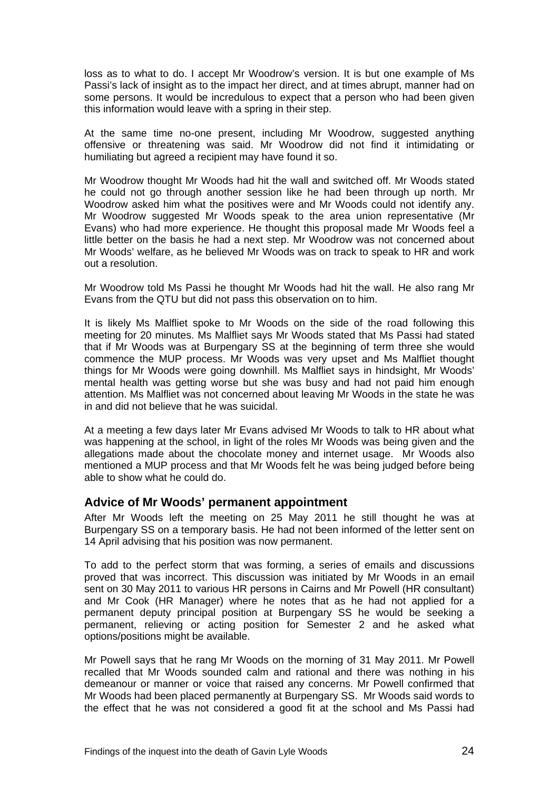loss as to what to do. I accept Mr Woodrow's version. It is but one example of Ms Passi's lack of insight as to the impact her direct, and at times abrupt, manner had on some persons. It would be incredulous to expect that a person who had been given this information would leave with a spring in their step.

At the same time no-one present, including Mr Woodrow, suggested anything offensive or threatening was said. Mr Woodrow did not find it intimidating or humiliating but agreed a recipient may have found it so.

Mr Woodrow thought Mr Woods had hit the wall and switched off. Mr Woods stated he could not go through another session like he had been through up north. Mr Woodrow asked him what the positives were and Mr Woods could not identify any. Mr Woodrow suggested Mr Woods speak to the area union representative (Mr Evans) who had more experience. He thought this proposal made Mr Woods feel a little better on the basis he had a next step. Mr Woodrow was not concerned about Mr Woods' welfare, as he believed Mr Woods was on track to speak to HR and work out a resolution.

Mr Woodrow told Ms Passi he thought Mr Woods had hit the wall. He also rang Mr Evans from the QTU but did not pass this observation on to him.

It is likely Ms Malfliet spoke to Mr Woods on the side of the road following this meeting for 20 minutes. Ms Malfliet says Mr Woods stated that Ms Passi had stated that if Mr Woods was at Burpengary SS at the beginning of term three she would commence the MUP process. Mr Woods was very upset and Ms Malfliet thought things for Mr Woods were going downhill. Ms Malfliet says in hindsight, Mr Woods' mental health was getting worse but she was busy and had not paid him enough attention. Ms Malfliet was not concerned about leaving Mr Woods in the state he was in and did not believe that he was suicidal.

At a meeting a few days later Mr Evans advised Mr Woods to talk to HR about what was happening at the school, in light of the roles Mr Woods was being given and the allegations made about the chocolate money and internet usage. Mr Woods also mentioned a MUP process and that Mr Woods felt he was being judged before being able to show what he could do.

## <span id="page-25-0"></span>**Advice of Mr Woods' permanent appointment**

After Mr Woods left the meeting on 25 May 2011 he still thought he was at Burpengary SS on a temporary basis. He had not been informed of the letter sent on 14 April advising that his position was now permanent.

To add to the perfect storm that was forming, a series of emails and discussions proved that was incorrect. This discussion was initiated by Mr Woods in an email sent on 30 May 2011 to various HR persons in Cairns and Mr Powell (HR consultant) and Mr Cook (HR Manager) where he notes that as he had not applied for a permanent deputy principal position at Burpengary SS he would be seeking a permanent, relieving or acting position for Semester 2 and he asked what options/positions might be available.

Mr Powell says that he rang Mr Woods on the morning of 31 May 2011. Mr Powell recalled that Mr Woods sounded calm and rational and there was nothing in his demeanour or manner or voice that raised any concerns. Mr Powell confirmed that Mr Woods had been placed permanently at Burpengary SS. Mr Woods said words to the effect that he was not considered a good fit at the school and Ms Passi had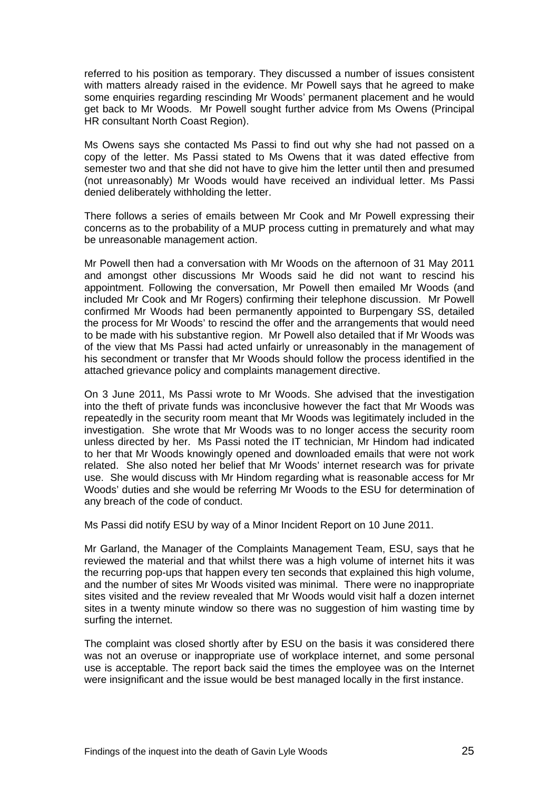referred to his position as temporary. They discussed a number of issues consistent with matters already raised in the evidence. Mr Powell says that he agreed to make some enquiries regarding rescinding Mr Woods' permanent placement and he would get back to Mr Woods. Mr Powell sought further advice from Ms Owens (Principal HR consultant North Coast Region).

Ms Owens says she contacted Ms Passi to find out why she had not passed on a copy of the letter. Ms Passi stated to Ms Owens that it was dated effective from semester two and that she did not have to give him the letter until then and presumed (not unreasonably) Mr Woods would have received an individual letter. Ms Passi denied deliberately withholding the letter.

There follows a series of emails between Mr Cook and Mr Powell expressing their concerns as to the probability of a MUP process cutting in prematurely and what may be unreasonable management action.

Mr Powell then had a conversation with Mr Woods on the afternoon of 31 May 2011 and amongst other discussions Mr Woods said he did not want to rescind his appointment. Following the conversation, Mr Powell then emailed Mr Woods (and included Mr Cook and Mr Rogers) confirming their telephone discussion. Mr Powell confirmed Mr Woods had been permanently appointed to Burpengary SS, detailed the process for Mr Woods' to rescind the offer and the arrangements that would need to be made with his substantive region. Mr Powell also detailed that if Mr Woods was of the view that Ms Passi had acted unfairly or unreasonably in the management of his secondment or transfer that Mr Woods should follow the process identified in the attached grievance policy and complaints management directive.

On 3 June 2011, Ms Passi wrote to Mr Woods. She advised that the investigation into the theft of private funds was inconclusive however the fact that Mr Woods was repeatedly in the security room meant that Mr Woods was legitimately included in the investigation. She wrote that Mr Woods was to no longer access the security room unless directed by her. Ms Passi noted the IT technician, Mr Hindom had indicated to her that Mr Woods knowingly opened and downloaded emails that were not work related. She also noted her belief that Mr Woods' internet research was for private use. She would discuss with Mr Hindom regarding what is reasonable access for Mr Woods' duties and she would be referring Mr Woods to the ESU for determination of any breach of the code of conduct.

Ms Passi did notify ESU by way of a Minor Incident Report on 10 June 2011.

Mr Garland, the Manager of the Complaints Management Team, ESU, says that he reviewed the material and that whilst there was a high volume of internet hits it was the recurring pop-ups that happen every ten seconds that explained this high volume, and the number of sites Mr Woods visited was minimal. There were no inappropriate sites visited and the review revealed that Mr Woods would visit half a dozen internet sites in a twenty minute window so there was no suggestion of him wasting time by surfing the internet.

The complaint was closed shortly after by ESU on the basis it was considered there was not an overuse or inappropriate use of workplace internet, and some personal use is acceptable. The report back said the times the employee was on the Internet were insignificant and the issue would be best managed locally in the first instance.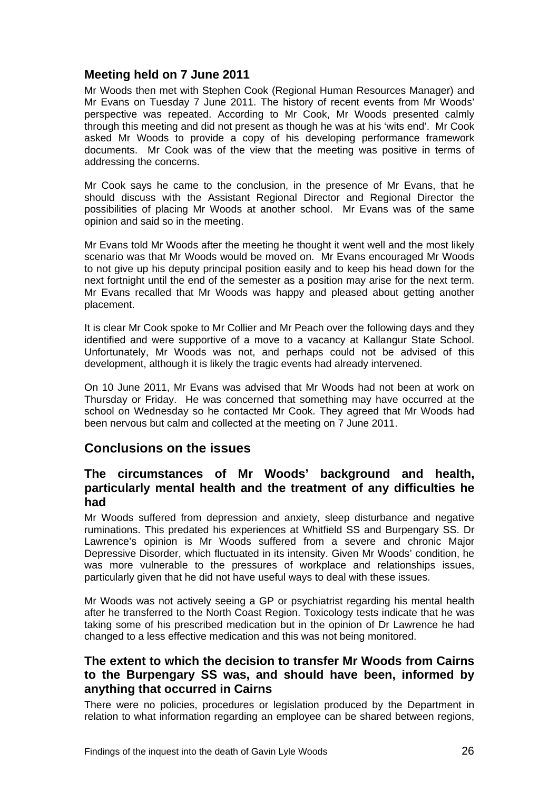## <span id="page-27-0"></span>**Meeting held on 7 June 2011**

Mr Woods then met with Stephen Cook (Regional Human Resources Manager) and Mr Evans on Tuesday 7 June 2011. The history of recent events from Mr Woods' perspective was repeated. According to Mr Cook, Mr Woods presented calmly through this meeting and did not present as though he was at his 'wits end'. Mr Cook asked Mr Woods to provide a copy of his developing performance framework documents. Mr Cook was of the view that the meeting was positive in terms of addressing the concerns.

Mr Cook says he came to the conclusion, in the presence of Mr Evans, that he should discuss with the Assistant Regional Director and Regional Director the possibilities of placing Mr Woods at another school. Mr Evans was of the same opinion and said so in the meeting.

Mr Evans told Mr Woods after the meeting he thought it went well and the most likely scenario was that Mr Woods would be moved on. Mr Evans encouraged Mr Woods to not give up his deputy principal position easily and to keep his head down for the next fortnight until the end of the semester as a position may arise for the next term. Mr Evans recalled that Mr Woods was happy and pleased about getting another placement.

It is clear Mr Cook spoke to Mr Collier and Mr Peach over the following days and they identified and were supportive of a move to a vacancy at Kallangur State School. Unfortunately, Mr Woods was not, and perhaps could not be advised of this development, although it is likely the tragic events had already intervened.

On 10 June 2011, Mr Evans was advised that Mr Woods had not been at work on Thursday or Friday. He was concerned that something may have occurred at the school on Wednesday so he contacted Mr Cook. They agreed that Mr Woods had been nervous but calm and collected at the meeting on 7 June 2011.

# <span id="page-27-1"></span>**Conclusions on the issues**

# <span id="page-27-2"></span>**The circumstances of Mr Woods' background and health, particularly mental health and the treatment of any difficulties he had**

Mr Woods suffered from depression and anxiety, sleep disturbance and negative ruminations. This predated his experiences at Whitfield SS and Burpengary SS. Dr Lawrence's opinion is Mr Woods suffered from a severe and chronic Major Depressive Disorder, which fluctuated in its intensity. Given Mr Woods' condition, he was more vulnerable to the pressures of workplace and relationships issues, particularly given that he did not have useful ways to deal with these issues.

Mr Woods was not actively seeing a GP or psychiatrist regarding his mental health after he transferred to the North Coast Region. Toxicology tests indicate that he was taking some of his prescribed medication but in the opinion of Dr Lawrence he had changed to a less effective medication and this was not being monitored.

# <span id="page-27-3"></span>**The extent to which the decision to transfer Mr Woods from Cairns to the Burpengary SS was, and should have been, informed by anything that occurred in Cairns**

There were no policies, procedures or legislation produced by the Department in relation to what information regarding an employee can be shared between regions.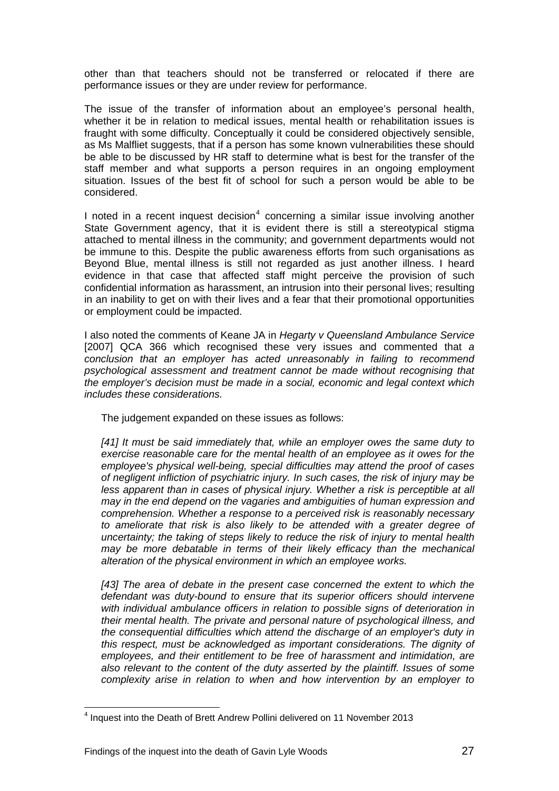other than that teachers should not be transferred or relocated if there are performance issues or they are under review for performance.

The issue of the transfer of information about an employee's personal health, whether it be in relation to medical issues, mental health or rehabilitation issues is fraught with some difficulty. Conceptually it could be considered objectively sensible, as Ms Malfliet suggests, that if a person has some known vulnerabilities these should be able to be discussed by HR staff to determine what is best for the transfer of the staff member and what supports a person requires in an ongoing employment situation. Issues of the best fit of school for such a person would be able to be considered.

I noted in a recent inquest decision $4$  concerning a similar issue involving another State Government agency, that it is evident there is still a stereotypical stigma attached to mental illness in the community; and government departments would not be immune to this. Despite the public awareness efforts from such organisations as Beyond Blue, mental illness is still not regarded as just another illness. I heard evidence in that case that affected staff might perceive the provision of such confidential information as harassment, an intrusion into their personal lives; resulting in an inability to get on with their lives and a fear that their promotional opportunities or employment could be impacted.

I also noted the comments of Keane JA in *Hegarty v Queensland Ambulance Service* [2007] QCA 366 which recognised these very issues and commented that *a conclusion that an employer has acted unreasonably in failing to recommend psychological assessment and treatment cannot be made without recognising that the employer's decision must be made in a social, economic and legal context which includes these considerations.* 

The judgement expanded on these issues as follows:

*[41] It must be said immediately that, while an employer owes the same duty to exercise reasonable care for the mental health of an employee as it owes for the employee's physical well-being, special difficulties may attend the proof of cases of negligent infliction of psychiatric injury. In such cases, the risk of injury may be less apparent than in cases of physical injury. Whether a risk is perceptible at all may in the end depend on the vagaries and ambiguities of human expression and comprehension. Whether a response to a perceived risk is reasonably necessary to ameliorate that risk is also likely to be attended with a greater degree of uncertainty; the taking of steps likely to reduce the risk of injury to mental health may be more debatable in terms of their likely efficacy than the mechanical alteration of the physical environment in which an employee works.* 

[43] The area of debate in the present case concerned the extent to which the *defendant was duty-bound to ensure that its superior officers should intervene with individual ambulance officers in relation to possible signs of deterioration in their mental health. The private and personal nature of psychological illness, and the consequential difficulties which attend the discharge of an employer's duty in this respect, must be acknowledged as important considerations. The dignity of employees, and their entitlement to be free of harassment and intimidation, are also relevant to the content of the duty asserted by the plaintiff. Issues of some complexity arise in relation to when and how intervention by an employer to* 

l

<sup>&</sup>lt;sup>4</sup> Inquest into the Death of Brett Andrew Pollini delivered on 11 November 2013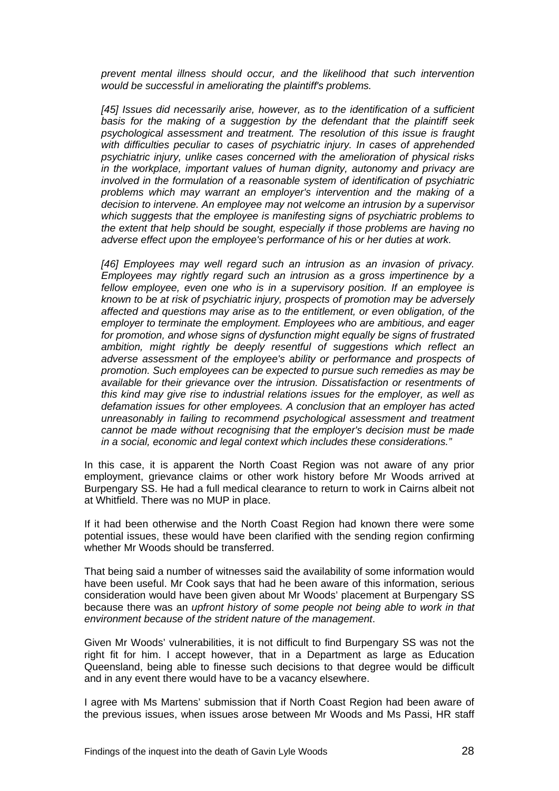*prevent mental illness should occur, and the likelihood that such intervention would be successful in ameliorating the plaintiff's problems.* 

*[45] Issues did necessarily arise, however, as to the identification of a sufficient basis for the making of a suggestion by the defendant that the plaintiff seek psychological assessment and treatment. The resolution of this issue is fraught with difficulties peculiar to cases of psychiatric injury. In cases of apprehended psychiatric injury, unlike cases concerned with the amelioration of physical risks in the workplace, important values of human dignity, autonomy and privacy are involved in the formulation of a reasonable system of identification of psychiatric problems which may warrant an employer's intervention and the making of a decision to intervene. An employee may not welcome an intrusion by a supervisor which suggests that the employee is manifesting signs of psychiatric problems to the extent that help should be sought, especially if those problems are having no adverse effect upon the employee's performance of his or her duties at work.* 

*[46] Employees may well regard such an intrusion as an invasion of privacy. Employees may rightly regard such an intrusion as a gross impertinence by a fellow employee, even one who is in a supervisory position. If an employee is known to be at risk of psychiatric injury, prospects of promotion may be adversely affected and questions may arise as to the entitlement, or even obligation, of the employer to terminate the employment. Employees who are ambitious, and eager for promotion, and whose signs of dysfunction might equally be signs of frustrated ambition, might rightly be deeply resentful of suggestions which reflect an adverse assessment of the employee's ability or performance and prospects of promotion. Such employees can be expected to pursue such remedies as may be available for their grievance over the intrusion. Dissatisfaction or resentments of this kind may give rise to industrial relations issues for the employer, as well as defamation issues for other employees. A conclusion that an employer has acted unreasonably in failing to recommend psychological assessment and treatment cannot be made without recognising that the employer's decision must be made in a social, economic and legal context which includes these considerations."* 

In this case, it is apparent the North Coast Region was not aware of any prior employment, grievance claims or other work history before Mr Woods arrived at Burpengary SS. He had a full medical clearance to return to work in Cairns albeit not at Whitfield. There was no MUP in place.

If it had been otherwise and the North Coast Region had known there were some potential issues, these would have been clarified with the sending region confirming whether Mr Woods should be transferred.

That being said a number of witnesses said the availability of some information would have been useful. Mr Cook says that had he been aware of this information, serious consideration would have been given about Mr Woods' placement at Burpengary SS because there was an *upfront history of some people not being able to work in that environment because of the strident nature of the management*.

Given Mr Woods' vulnerabilities, it is not difficult to find Burpengary SS was not the right fit for him. I accept however, that in a Department as large as Education Queensland, being able to finesse such decisions to that degree would be difficult and in any event there would have to be a vacancy elsewhere.

I agree with Ms Martens' submission that if North Coast Region had been aware of the previous issues, when issues arose between Mr Woods and Ms Passi, HR staff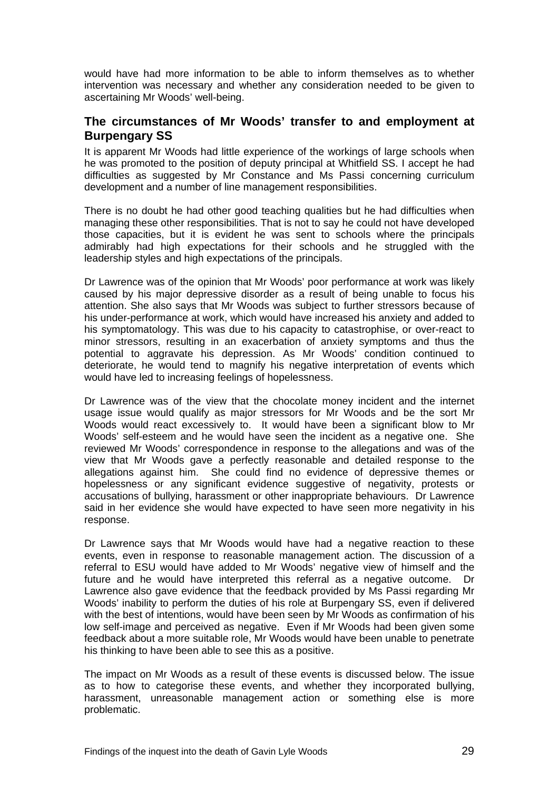would have had more information to be able to inform themselves as to whether intervention was necessary and whether any consideration needed to be given to ascertaining Mr Woods' well-being.

## <span id="page-30-0"></span>**The circumstances of Mr Woods' transfer to and employment at Burpengary SS**

It is apparent Mr Woods had little experience of the workings of large schools when he was promoted to the position of deputy principal at Whitfield SS. I accept he had difficulties as suggested by Mr Constance and Ms Passi concerning curriculum development and a number of line management responsibilities.

There is no doubt he had other good teaching qualities but he had difficulties when managing these other responsibilities. That is not to say he could not have developed those capacities, but it is evident he was sent to schools where the principals admirably had high expectations for their schools and he struggled with the leadership styles and high expectations of the principals.

Dr Lawrence was of the opinion that Mr Woods' poor performance at work was likely caused by his major depressive disorder as a result of being unable to focus his attention. She also says that Mr Woods was subject to further stressors because of his under-performance at work, which would have increased his anxiety and added to his symptomatology. This was due to his capacity to catastrophise, or over-react to minor stressors, resulting in an exacerbation of anxiety symptoms and thus the potential to aggravate his depression. As Mr Woods' condition continued to deteriorate, he would tend to magnify his negative interpretation of events which would have led to increasing feelings of hopelessness.

Dr Lawrence was of the view that the chocolate money incident and the internet usage issue would qualify as major stressors for Mr Woods and be the sort Mr Woods would react excessively to. It would have been a significant blow to Mr Woods' self-esteem and he would have seen the incident as a negative one. She reviewed Mr Woods' correspondence in response to the allegations and was of the view that Mr Woods gave a perfectly reasonable and detailed response to the allegations against him. She could find no evidence of depressive themes or hopelessness or any significant evidence suggestive of negativity, protests or accusations of bullying, harassment or other inappropriate behaviours. Dr Lawrence said in her evidence she would have expected to have seen more negativity in his response.

Dr Lawrence says that Mr Woods would have had a negative reaction to these events, even in response to reasonable management action. The discussion of a referral to ESU would have added to Mr Woods' negative view of himself and the future and he would have interpreted this referral as a negative outcome. Dr Lawrence also gave evidence that the feedback provided by Ms Passi regarding Mr Woods' inability to perform the duties of his role at Burpengary SS, even if delivered with the best of intentions, would have been seen by Mr Woods as confirmation of his low self-image and perceived as negative. Even if Mr Woods had been given some feedback about a more suitable role, Mr Woods would have been unable to penetrate his thinking to have been able to see this as a positive.

The impact on Mr Woods as a result of these events is discussed below. The issue as to how to categorise these events, and whether they incorporated bullying, harassment, unreasonable management action or something else is more problematic.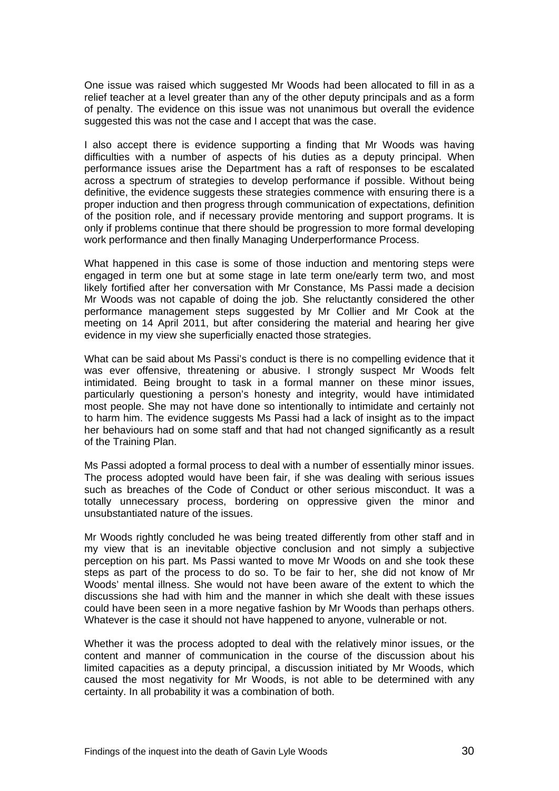One issue was raised which suggested Mr Woods had been allocated to fill in as a relief teacher at a level greater than any of the other deputy principals and as a form of penalty. The evidence on this issue was not unanimous but overall the evidence suggested this was not the case and I accept that was the case.

I also accept there is evidence supporting a finding that Mr Woods was having difficulties with a number of aspects of his duties as a deputy principal. When performance issues arise the Department has a raft of responses to be escalated across a spectrum of strategies to develop performance if possible. Without being definitive, the evidence suggests these strategies commence with ensuring there is a proper induction and then progress through communication of expectations, definition of the position role, and if necessary provide mentoring and support programs. It is only if problems continue that there should be progression to more formal developing work performance and then finally Managing Underperformance Process.

What happened in this case is some of those induction and mentoring steps were engaged in term one but at some stage in late term one/early term two, and most likely fortified after her conversation with Mr Constance, Ms Passi made a decision Mr Woods was not capable of doing the job. She reluctantly considered the other performance management steps suggested by Mr Collier and Mr Cook at the meeting on 14 April 2011, but after considering the material and hearing her give evidence in my view she superficially enacted those strategies.

What can be said about Ms Passi's conduct is there is no compelling evidence that it was ever offensive, threatening or abusive. I strongly suspect Mr Woods felt intimidated. Being brought to task in a formal manner on these minor issues, particularly questioning a person's honesty and integrity, would have intimidated most people. She may not have done so intentionally to intimidate and certainly not to harm him. The evidence suggests Ms Passi had a lack of insight as to the impact her behaviours had on some staff and that had not changed significantly as a result of the Training Plan.

Ms Passi adopted a formal process to deal with a number of essentially minor issues. The process adopted would have been fair, if she was dealing with serious issues such as breaches of the Code of Conduct or other serious misconduct. It was a totally unnecessary process, bordering on oppressive given the minor and unsubstantiated nature of the issues.

Mr Woods rightly concluded he was being treated differently from other staff and in my view that is an inevitable objective conclusion and not simply a subjective perception on his part. Ms Passi wanted to move Mr Woods on and she took these steps as part of the process to do so. To be fair to her, she did not know of Mr Woods' mental illness. She would not have been aware of the extent to which the discussions she had with him and the manner in which she dealt with these issues could have been seen in a more negative fashion by Mr Woods than perhaps others. Whatever is the case it should not have happened to anyone, vulnerable or not.

Whether it was the process adopted to deal with the relatively minor issues, or the content and manner of communication in the course of the discussion about his limited capacities as a deputy principal, a discussion initiated by Mr Woods, which caused the most negativity for Mr Woods, is not able to be determined with any certainty. In all probability it was a combination of both.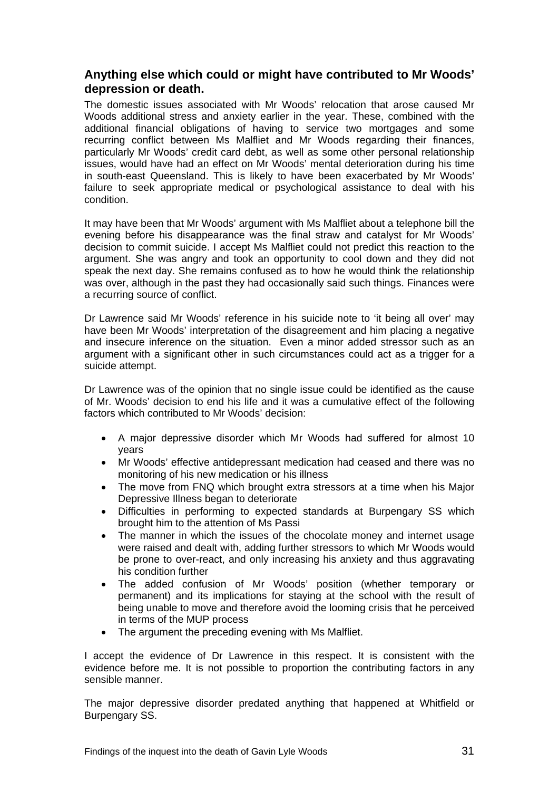# <span id="page-32-0"></span>**Anything else which could or might have contributed to Mr Woods' depression or death.**

The domestic issues associated with Mr Woods' relocation that arose caused Mr Woods additional stress and anxiety earlier in the year. These, combined with the additional financial obligations of having to service two mortgages and some recurring conflict between Ms Malfliet and Mr Woods regarding their finances, particularly Mr Woods' credit card debt, as well as some other personal relationship issues, would have had an effect on Mr Woods' mental deterioration during his time in south-east Queensland. This is likely to have been exacerbated by Mr Woods' failure to seek appropriate medical or psychological assistance to deal with his condition.

It may have been that Mr Woods' argument with Ms Malfliet about a telephone bill the evening before his disappearance was the final straw and catalyst for Mr Woods' decision to commit suicide. I accept Ms Malfliet could not predict this reaction to the argument. She was angry and took an opportunity to cool down and they did not speak the next day. She remains confused as to how he would think the relationship was over, although in the past they had occasionally said such things. Finances were a recurring source of conflict.

Dr Lawrence said Mr Woods' reference in his suicide note to 'it being all over' may have been Mr Woods' interpretation of the disagreement and him placing a negative and insecure inference on the situation. Even a minor added stressor such as an argument with a significant other in such circumstances could act as a trigger for a suicide attempt.

Dr Lawrence was of the opinion that no single issue could be identified as the cause of Mr. Woods' decision to end his life and it was a cumulative effect of the following factors which contributed to Mr Woods' decision:

- A major depressive disorder which Mr Woods had suffered for almost 10 years
- Mr Woods' effective antidepressant medication had ceased and there was no monitoring of his new medication or his illness
- The move from FNQ which brought extra stressors at a time when his Major Depressive Illness began to deteriorate
- Difficulties in performing to expected standards at Burpengary SS which brought him to the attention of Ms Passi
- The manner in which the issues of the chocolate money and internet usage were raised and dealt with, adding further stressors to which Mr Woods would be prone to over-react, and only increasing his anxiety and thus aggravating his condition further
- The added confusion of Mr Woods' position (whether temporary or permanent) and its implications for staying at the school with the result of being unable to move and therefore avoid the looming crisis that he perceived in terms of the MUP process
- The argument the preceding evening with Ms Malfliet.

I accept the evidence of Dr Lawrence in this respect. It is consistent with the evidence before me. It is not possible to proportion the contributing factors in any sensible manner.

The major depressive disorder predated anything that happened at Whitfield or Burpengary SS.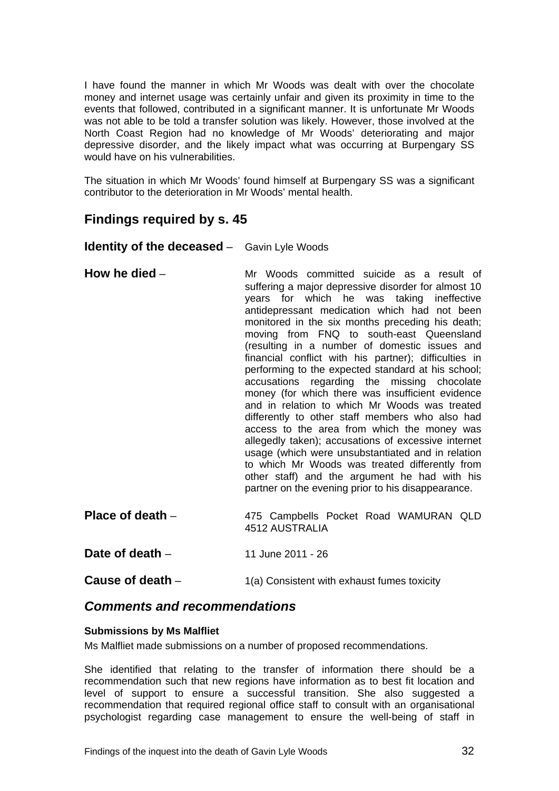I have found the manner in which Mr Woods was dealt with over the chocolate money and internet usage was certainly unfair and given its proximity in time to the events that followed, contributed in a significant manner. It is unfortunate Mr Woods was not able to be told a transfer solution was likely. However, those involved at the North Coast Region had no knowledge of Mr Woods' deteriorating and major depressive disorder, and the likely impact what was occurring at Burpengary SS would have on his vulnerabilities.

The situation in which Mr Woods' found himself at Burpengary SS was a significant contributor to the deterioration in Mr Woods' mental health.

# <span id="page-33-0"></span>**Findings required by s. 45**

#### <span id="page-33-1"></span>**Identity of the deceased** – Gavin Lyle Woods

- <span id="page-33-2"></span>**How he died** – Mr Woods committed suicide as a result of suffering a major depressive disorder for almost 10 years for which he was taking ineffective antidepressant medication which had not been monitored in the six months preceding his death; moving from FNQ to south-east Queensland (resulting in a number of domestic issues and financial conflict with his partner); difficulties in performing to the expected standard at his school; accusations regarding the missing chocolate money (for which there was insufficient evidence and in relation to which Mr Woods was treated differently to other staff members who also had access to the area from which the money was allegedly taken); accusations of excessive internet usage (which were unsubstantiated and in relation to which Mr Woods was treated differently from other staff) and the argument he had with his partner on the evening prior to his disappearance.
- <span id="page-33-3"></span>**Place of death** – 475 Campbells Pocket Road WAMURAN QLD 4512 AUSTRALIA
- <span id="page-33-4"></span>**Date of death – 11 June 2011 - 26**
- <span id="page-33-5"></span>**Cause of death** – 1(a) Consistent with exhaust fumes toxicity

## <span id="page-33-6"></span>*Comments and recommendations*

#### **Submissions by Ms Malfliet**

Ms Malfliet made submissions on a number of proposed recommendations.

She identified that relating to the transfer of information there should be a recommendation such that new regions have information as to best fit location and level of support to ensure a successful transition. She also suggested a recommendation that required regional office staff to consult with an organisational psychologist regarding case management to ensure the well-being of staff in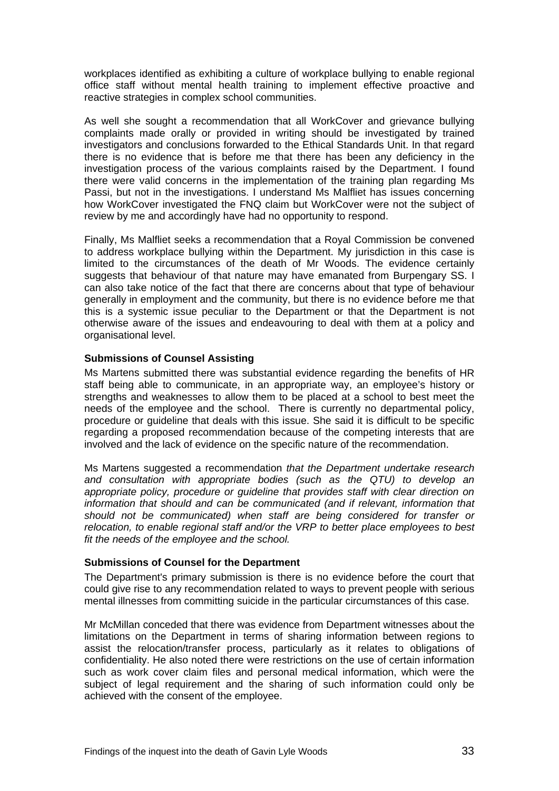workplaces identified as exhibiting a culture of workplace bullying to enable regional office staff without mental health training to implement effective proactive and reactive strategies in complex school communities.

As well she sought a recommendation that all WorkCover and grievance bullying complaints made orally or provided in writing should be investigated by trained investigators and conclusions forwarded to the Ethical Standards Unit. In that regard there is no evidence that is before me that there has been any deficiency in the investigation process of the various complaints raised by the Department. I found there were valid concerns in the implementation of the training plan regarding Ms Passi, but not in the investigations. I understand Ms Malfliet has issues concerning how WorkCover investigated the FNQ claim but WorkCover were not the subject of review by me and accordingly have had no opportunity to respond.

Finally, Ms Malfliet seeks a recommendation that a Royal Commission be convened to address workplace bullying within the Department. My jurisdiction in this case is limited to the circumstances of the death of Mr Woods. The evidence certainly suggests that behaviour of that nature may have emanated from Burpengary SS. I can also take notice of the fact that there are concerns about that type of behaviour generally in employment and the community, but there is no evidence before me that this is a systemic issue peculiar to the Department or that the Department is not otherwise aware of the issues and endeavouring to deal with them at a policy and organisational level.

#### **Submissions of Counsel Assisting**

Ms Martens submitted there was substantial evidence regarding the benefits of HR staff being able to communicate, in an appropriate way, an employee's history or strengths and weaknesses to allow them to be placed at a school to best meet the needs of the employee and the school. There is currently no departmental policy, procedure or guideline that deals with this issue. She said it is difficult to be specific regarding a proposed recommendation because of the competing interests that are involved and the lack of evidence on the specific nature of the recommendation.

Ms Martens suggested a recommendation *that the Department undertake research and consultation with appropriate bodies (such as the QTU) to develop an appropriate policy, procedure or guideline that provides staff with clear direction on information that should and can be communicated (and if relevant, information that should not be communicated) when staff are being considered for transfer or relocation, to enable regional staff and/or the VRP to better place employees to best fit the needs of the employee and the school.*

#### **Submissions of Counsel for the Department**

The Department's primary submission is there is no evidence before the court that could give rise to any recommendation related to ways to prevent people with serious mental illnesses from committing suicide in the particular circumstances of this case.

Mr McMillan conceded that there was evidence from Department witnesses about the limitations on the Department in terms of sharing information between regions to assist the relocation/transfer process, particularly as it relates to obligations of confidentiality. He also noted there were restrictions on the use of certain information such as work cover claim files and personal medical information, which were the subject of legal requirement and the sharing of such information could only be achieved with the consent of the employee.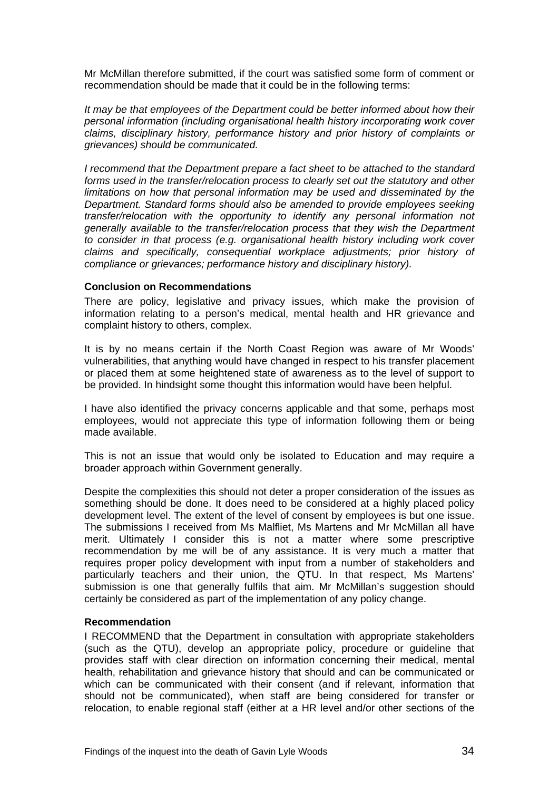Mr McMillan therefore submitted, if the court was satisfied some form of comment or recommendation should be made that it could be in the following terms:

*It may be that employees of the Department could be better informed about how their personal information (including organisational health history incorporating work cover claims, disciplinary history, performance history and prior history of complaints or grievances) should be communicated.* 

*I recommend that the Department prepare a fact sheet to be attached to the standard forms used in the transfer/relocation process to clearly set out the statutory and other limitations on how that personal information may be used and disseminated by the Department. Standard forms should also be amended to provide employees seeking transfer/relocation with the opportunity to identify any personal information not generally available to the transfer/relocation process that they wish the Department to consider in that process (e.g. organisational health history including work cover claims and specifically, consequential workplace adjustments; prior history of compliance or grievances; performance history and disciplinary history).* 

#### **Conclusion on Recommendations**

There are policy, legislative and privacy issues, which make the provision of information relating to a person's medical, mental health and HR grievance and complaint history to others, complex.

It is by no means certain if the North Coast Region was aware of Mr Woods' vulnerabilities, that anything would have changed in respect to his transfer placement or placed them at some heightened state of awareness as to the level of support to be provided. In hindsight some thought this information would have been helpful.

I have also identified the privacy concerns applicable and that some, perhaps most employees, would not appreciate this type of information following them or being made available.

This is not an issue that would only be isolated to Education and may require a broader approach within Government generally.

Despite the complexities this should not deter a proper consideration of the issues as something should be done. It does need to be considered at a highly placed policy development level. The extent of the level of consent by employees is but one issue. The submissions I received from Ms Malfliet, Ms Martens and Mr McMillan all have merit. Ultimately I consider this is not a matter where some prescriptive recommendation by me will be of any assistance. It is very much a matter that requires proper policy development with input from a number of stakeholders and particularly teachers and their union, the QTU. In that respect, Ms Martens' submission is one that generally fulfils that aim. Mr McMillan's suggestion should certainly be considered as part of the implementation of any policy change.

#### **Recommendation**

I RECOMMEND that the Department in consultation with appropriate stakeholders (such as the QTU), develop an appropriate policy, procedure or guideline that provides staff with clear direction on information concerning their medical, mental health, rehabilitation and grievance history that should and can be communicated or which can be communicated with their consent (and if relevant, information that should not be communicated), when staff are being considered for transfer or relocation, to enable regional staff (either at a HR level and/or other sections of the